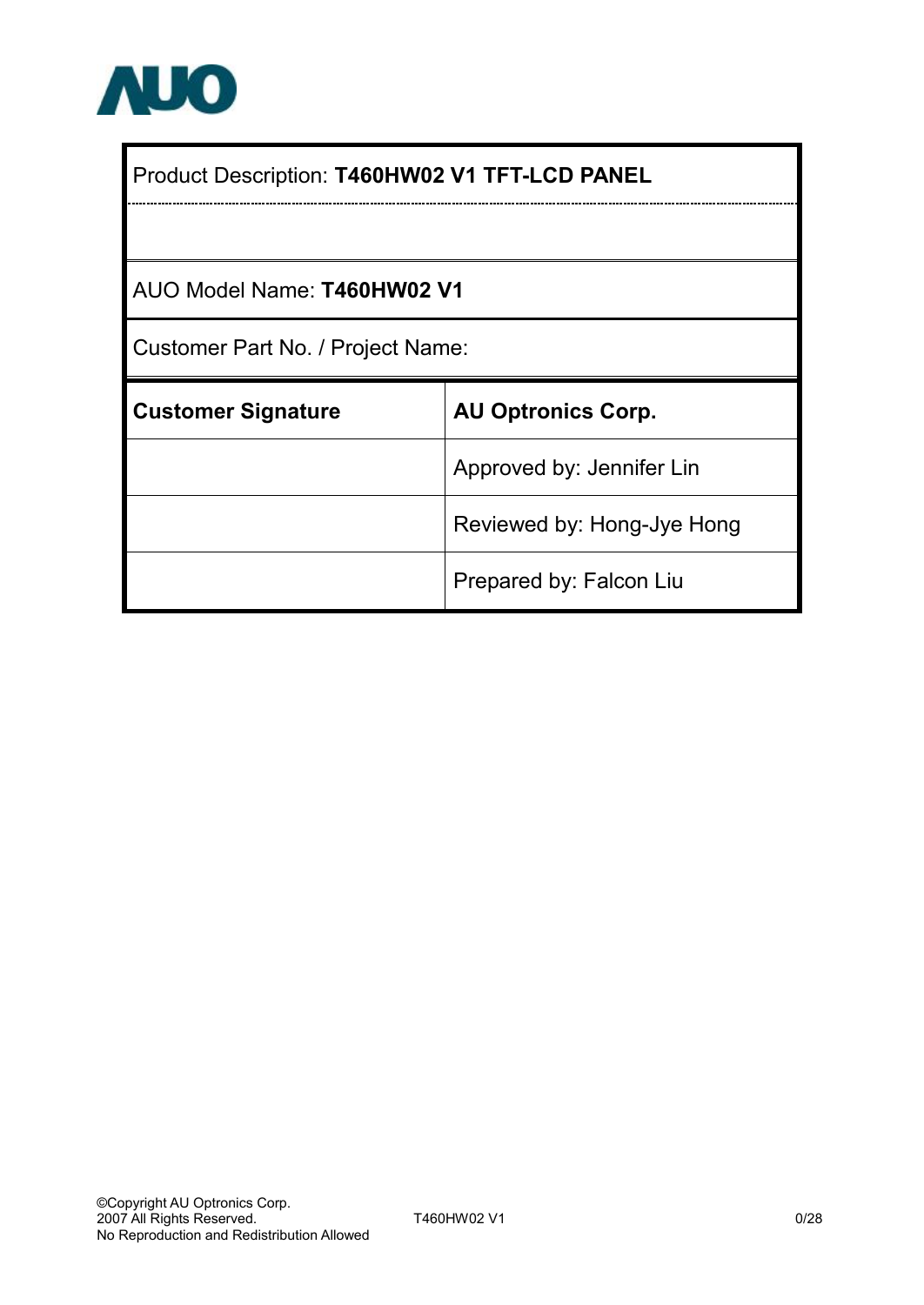

| Product Description: T460HW02 V1 TFT-LCD PANEL |                            |  |  |  |  |  |
|------------------------------------------------|----------------------------|--|--|--|--|--|
|                                                |                            |  |  |  |  |  |
| AUO Model Name: T460HW02 V1                    |                            |  |  |  |  |  |
| Customer Part No. / Project Name:              |                            |  |  |  |  |  |
| <b>Customer Signature</b>                      | <b>AU Optronics Corp.</b>  |  |  |  |  |  |
|                                                | Approved by: Jennifer Lin  |  |  |  |  |  |
|                                                | Reviewed by: Hong-Jye Hong |  |  |  |  |  |
|                                                | Prepared by: Falcon Liu    |  |  |  |  |  |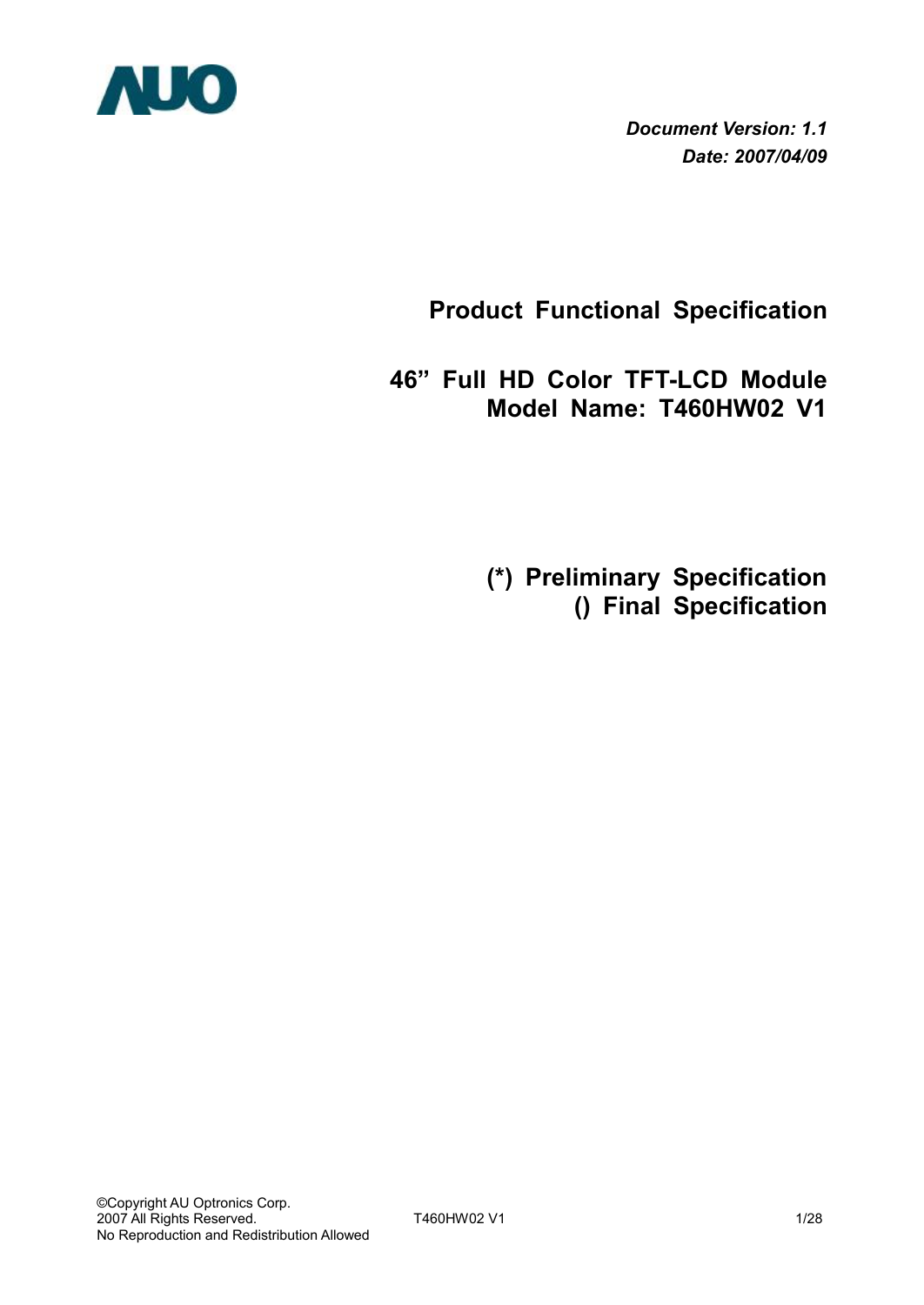

*Document Version: 1.1 Date: 2007/04/09*

**Product Functional Specification** 

**46" Full HD Color TFT-LCD Module Model Name: T460HW02 V1** 

 **(\*) Preliminary Specification () Final Specification**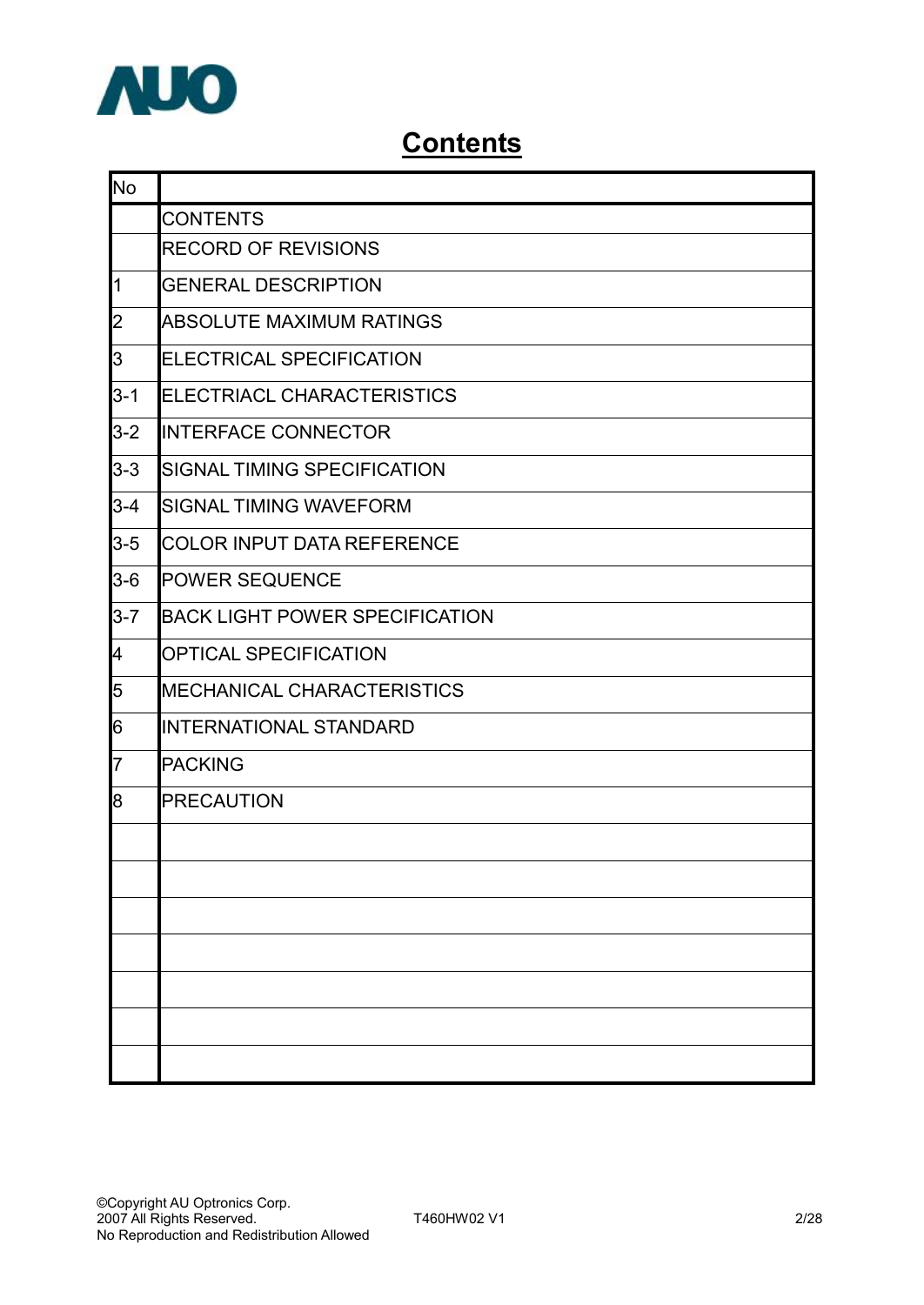

## **Contents**

| No             |                                       |  |  |  |  |  |  |  |  |  |
|----------------|---------------------------------------|--|--|--|--|--|--|--|--|--|
|                | <b>CONTENTS</b>                       |  |  |  |  |  |  |  |  |  |
|                | <b>RECORD OF REVISIONS</b>            |  |  |  |  |  |  |  |  |  |
| $\overline{1}$ | <b>GENERAL DESCRIPTION</b>            |  |  |  |  |  |  |  |  |  |
| $\overline{2}$ | ABSOLUTE MAXIMUM RATINGS              |  |  |  |  |  |  |  |  |  |
| 3              | ELECTRICAL SPECIFICATION              |  |  |  |  |  |  |  |  |  |
| $3 - 1$        | ELECTRIACL CHARACTERISTICS            |  |  |  |  |  |  |  |  |  |
| $3 - 2$        | <b>INTERFACE CONNECTOR</b>            |  |  |  |  |  |  |  |  |  |
| $3 - 3$        | SIGNAL TIMING SPECIFICATION           |  |  |  |  |  |  |  |  |  |
| $3 - 4$        | <b>SIGNAL TIMING WAVEFORM</b>         |  |  |  |  |  |  |  |  |  |
| $3 - 5$        | <b>COLOR INPUT DATA REFERENCE</b>     |  |  |  |  |  |  |  |  |  |
| $3-6$          | <b>POWER SEQUENCE</b>                 |  |  |  |  |  |  |  |  |  |
| $3 - 7$        | <b>BACK LIGHT POWER SPECIFICATION</b> |  |  |  |  |  |  |  |  |  |
| 4              | <b>OPTICAL SPECIFICATION</b>          |  |  |  |  |  |  |  |  |  |
| 5              | <b>MECHANICAL CHARACTERISTICS</b>     |  |  |  |  |  |  |  |  |  |
| 6              | <b>INTERNATIONAL STANDARD</b>         |  |  |  |  |  |  |  |  |  |
| $\overline{7}$ | <b>PACKING</b>                        |  |  |  |  |  |  |  |  |  |
| 8              | <b>PRECAUTION</b>                     |  |  |  |  |  |  |  |  |  |
|                |                                       |  |  |  |  |  |  |  |  |  |
|                |                                       |  |  |  |  |  |  |  |  |  |
|                |                                       |  |  |  |  |  |  |  |  |  |
|                |                                       |  |  |  |  |  |  |  |  |  |
|                |                                       |  |  |  |  |  |  |  |  |  |
|                |                                       |  |  |  |  |  |  |  |  |  |
|                |                                       |  |  |  |  |  |  |  |  |  |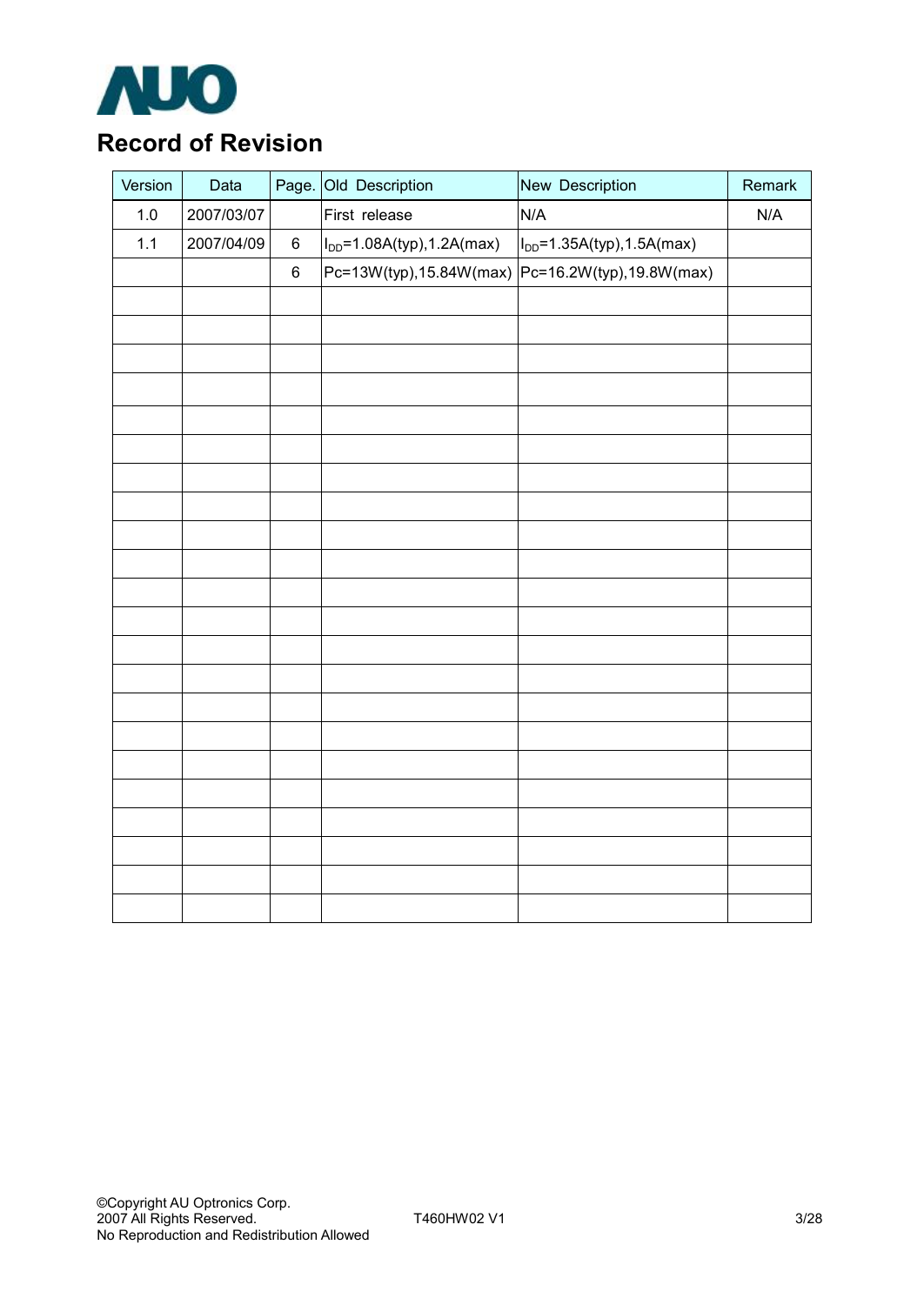

## **Record of Revision**

| Version | Data       | Page. | Old Description                  | New Description                                  | Remark |
|---------|------------|-------|----------------------------------|--------------------------------------------------|--------|
| $1.0\,$ | 2007/03/07 |       | First release                    | N/A                                              | N/A    |
| 1.1     | 2007/04/09 | $\,6$ | $I_{DD} = 1.08A(typ), 1.2A(max)$ | $I_{DD} = 1.35A(typ), 1.5A(max)$                 |        |
|         |            | $\,6$ |                                  | Pc=13W(typ),15.84W(max) Pc=16.2W(typ),19.8W(max) |        |
|         |            |       |                                  |                                                  |        |
|         |            |       |                                  |                                                  |        |
|         |            |       |                                  |                                                  |        |
|         |            |       |                                  |                                                  |        |
|         |            |       |                                  |                                                  |        |
|         |            |       |                                  |                                                  |        |
|         |            |       |                                  |                                                  |        |
|         |            |       |                                  |                                                  |        |
|         |            |       |                                  |                                                  |        |
|         |            |       |                                  |                                                  |        |
|         |            |       |                                  |                                                  |        |
|         |            |       |                                  |                                                  |        |
|         |            |       |                                  |                                                  |        |
|         |            |       |                                  |                                                  |        |
|         |            |       |                                  |                                                  |        |
|         |            |       |                                  |                                                  |        |
|         |            |       |                                  |                                                  |        |
|         |            |       |                                  |                                                  |        |
|         |            |       |                                  |                                                  |        |
|         |            |       |                                  |                                                  |        |
|         |            |       |                                  |                                                  |        |
|         |            |       |                                  |                                                  |        |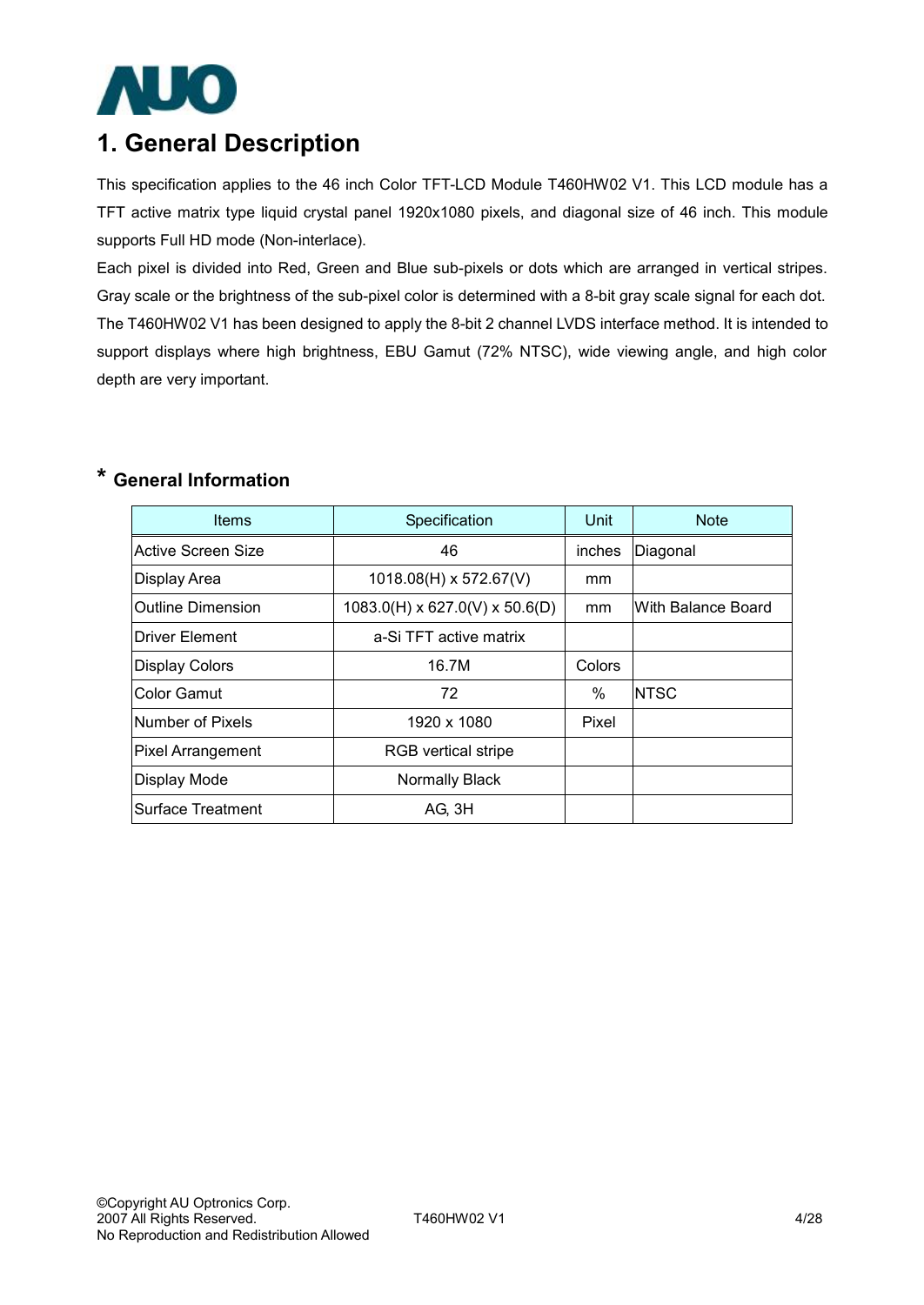

## **1. General Description**

This specification applies to the 46 inch Color TFT-LCD Module T460HW02 V1. This LCD module has a TFT active matrix type liquid crystal panel 1920x1080 pixels, and diagonal size of 46 inch. This module supports Full HD mode (Non-interlace).

Each pixel is divided into Red, Green and Blue sub-pixels or dots which are arranged in vertical stripes. Gray scale or the brightness of the sub-pixel color is determined with a 8-bit gray scale signal for each dot. The T460HW02 V1 has been designed to apply the 8-bit 2 channel LVDS interface method. It is intended to support displays where high brightness, EBU Gamut (72% NTSC), wide viewing angle, and high color depth are very important.

## **\* General Information**

| <b>Items</b>        | Specification                     | Unit          | <b>Note</b>        |
|---------------------|-----------------------------------|---------------|--------------------|
| Active Screen Size  | 46                                | inches        | Diagonal           |
| <b>Display Area</b> | $1018.08(H) \times 572.67(V)$     | mm            |                    |
| lOutline Dimension  | $1083.0$ (H) x 627.0(V) x 50.6(D) | mm            | With Balance Board |
| Driver Element      | a-Si TFT active matrix            |               |                    |
| Display Colors      | 16.7M                             | <b>Colors</b> |                    |
| Color Gamut         | 72                                | $\%$          | <b>NTSC</b>        |
| Number of Pixels    | 1920 x 1080                       | Pixel         |                    |
| Pixel Arrangement   | <b>RGB</b> vertical stripe        |               |                    |
| Display Mode        | Normally Black                    |               |                    |
| Surface Treatment   | AG, 3H                            |               |                    |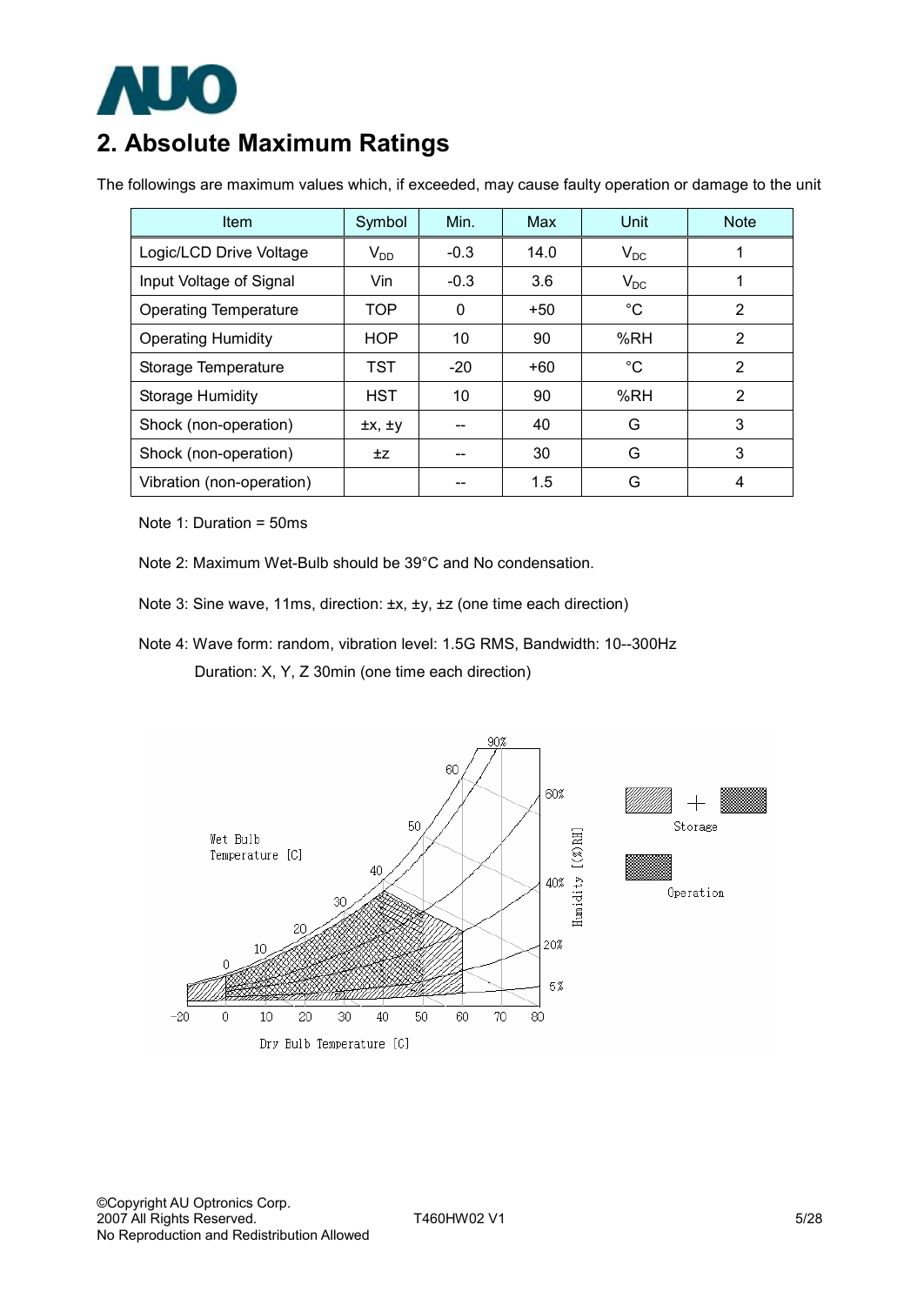

## **2. Absolute Maximum Ratings**

The followings are maximum values which, if exceeded, may cause faulty operation or damage to the unit

| <b>Item</b>                  | Symbol         | Min.   | Max   | Unit        | <b>Note</b>    |
|------------------------------|----------------|--------|-------|-------------|----------------|
| Logic/LCD Drive Voltage      | $V_{DD}$       | $-0.3$ | 14.0  | $V_{DC}$    |                |
| Input Voltage of Signal      | Vin            | $-0.3$ | 3.6   | $V_{DC}$    |                |
| <b>Operating Temperature</b> | <b>TOP</b>     | 0      | $+50$ | $^{\circ}C$ | 2              |
| <b>Operating Humidity</b>    | <b>HOP</b>     | 10     | 90    | %RH         | 2              |
| Storage Temperature          | TST            | $-20$  | $+60$ | $^{\circ}C$ | $\overline{2}$ |
| <b>Storage Humidity</b>      | <b>HST</b>     | 10     | 90    | %RH         | 2              |
| Shock (non-operation)        | $\pm x, \pm y$ |        | 40    | G           | 3              |
| Shock (non-operation)        | ±Ζ             |        | 30    | G           | 3              |
| Vibration (non-operation)    |                |        | 1.5   | G           | 4              |

Note 1: Duration = 50ms

- Note 2: Maximum Wet-Bulb should be 39°C and No condensation.
- Note 3: Sine wave, 11ms, direction: ±x, ±y, ±z (one time each direction)
- Note 4: Wave form: random, vibration level: 1.5G RMS, Bandwidth: 10--300Hz Duration: X, Y, Z 30min (one time each direction)

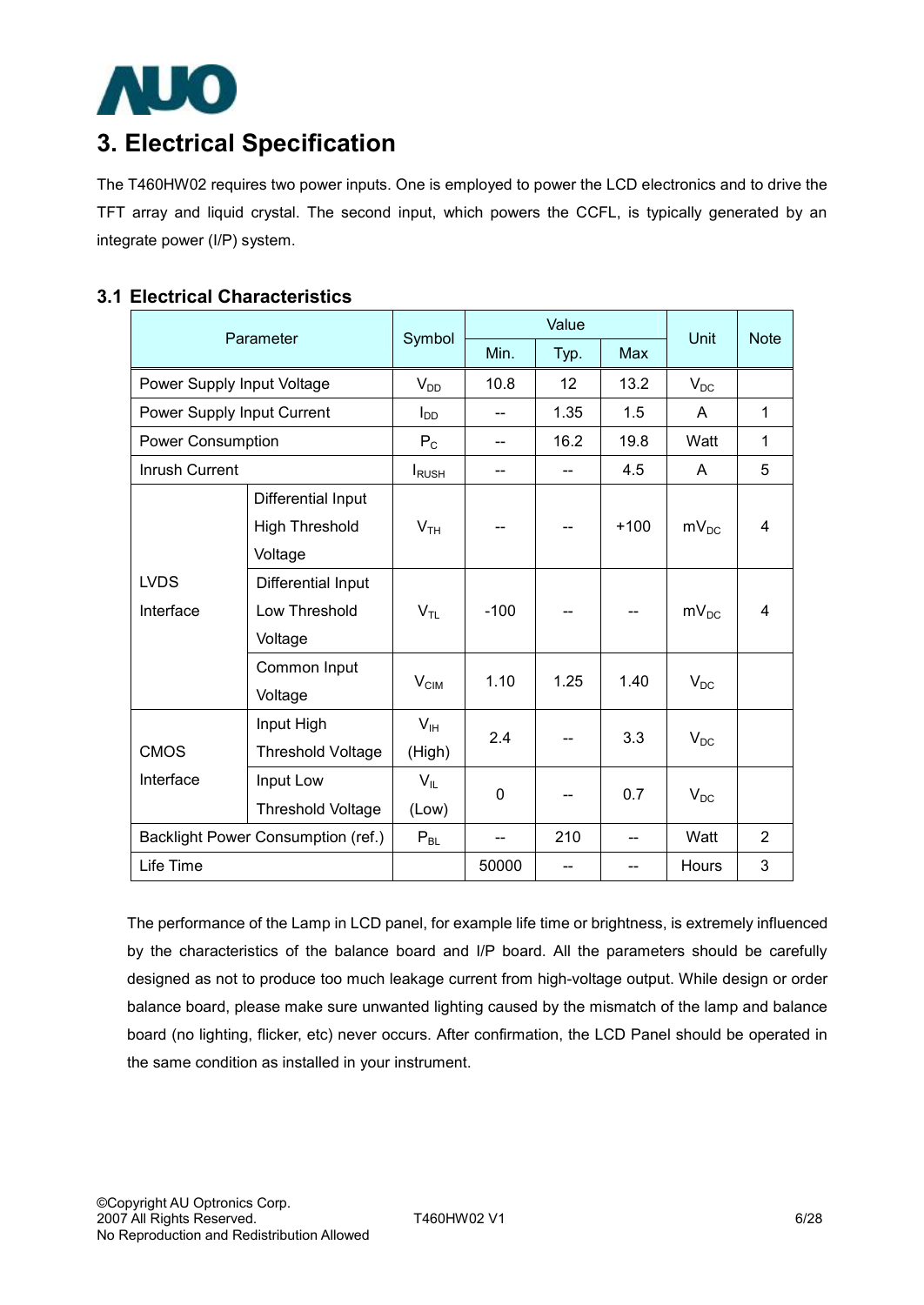

## **3. Electrical Specification**

The T460HW02 requires two power inputs. One is employed to power the LCD electronics and to drive the TFT array and liquid crystal. The second input, which powers the CCFL, is typically generated by an integrate power (I/P) system.

### **3.1 Electrical Characteristics**

|                            | Parameter                          |                  |        | Value |        | <b>Unit</b> | <b>Note</b>    |  |
|----------------------------|------------------------------------|------------------|--------|-------|--------|-------------|----------------|--|
|                            |                                    | Symbol           | Min.   | Typ.  | Max    |             |                |  |
| Power Supply Input Voltage |                                    | $V_{DD}$         | 10.8   | 12    | 13.2   | $V_{DC}$    |                |  |
|                            | Power Supply Input Current         |                  |        | 1.35  | 1.5    | A           | $\mathbf{1}$   |  |
|                            | <b>Power Consumption</b>           |                  |        | 16.2  | 19.8   | Watt        | $\mathbf{1}$   |  |
| Inrush Current             |                                    | <b>I</b> RUSH    | --     | $-$   | 4.5    | A           | 5              |  |
|                            | Differential Input                 |                  |        |       |        |             |                |  |
|                            | <b>High Threshold</b>              | V <sub>TH</sub>  |        |       | $+100$ | $mv_{DC}$   | 4              |  |
|                            | Voltage                            |                  |        |       |        |             |                |  |
| <b>LVDS</b>                | Differential Input                 |                  |        |       |        | $mV_{DC}$   |                |  |
| Interface                  | Low Threshold                      | $V_{TL}$         | $-100$ |       |        |             | 4              |  |
|                            | Voltage                            |                  |        |       |        |             |                |  |
|                            | Common Input                       |                  | 1.10   | 1.25  | 1.40   |             |                |  |
|                            | Voltage                            | $V_{\text{CIM}}$ |        |       |        | $V_{DC}$    |                |  |
|                            | Input High                         | V <sub>IH</sub>  | 2.4    |       | 3.3    |             |                |  |
| <b>CMOS</b>                | <b>Threshold Voltage</b>           | (High)           |        |       |        | $V_{DC}$    |                |  |
| Interface                  | Input Low                          | $V_{IL}$         | 0      |       | 0.7    |             |                |  |
|                            | Threshold Voltage                  | (Low)            |        |       |        | $V_{DC}$    |                |  |
|                            | Backlight Power Consumption (ref.) | $P_{BL}$         |        | 210   |        | Watt        | $\overline{2}$ |  |
| Life Time                  |                                    |                  | 50000  | --    |        | Hours       | 3              |  |

The performance of the Lamp in LCD panel, for example life time or brightness, is extremely influenced by the characteristics of the balance board and I/P board. All the parameters should be carefully designed as not to produce too much leakage current from high-voltage output. While design or order balance board, please make sure unwanted lighting caused by the mismatch of the lamp and balance board (no lighting, flicker, etc) never occurs. After confirmation, the LCD Panel should be operated in the same condition as installed in your instrument.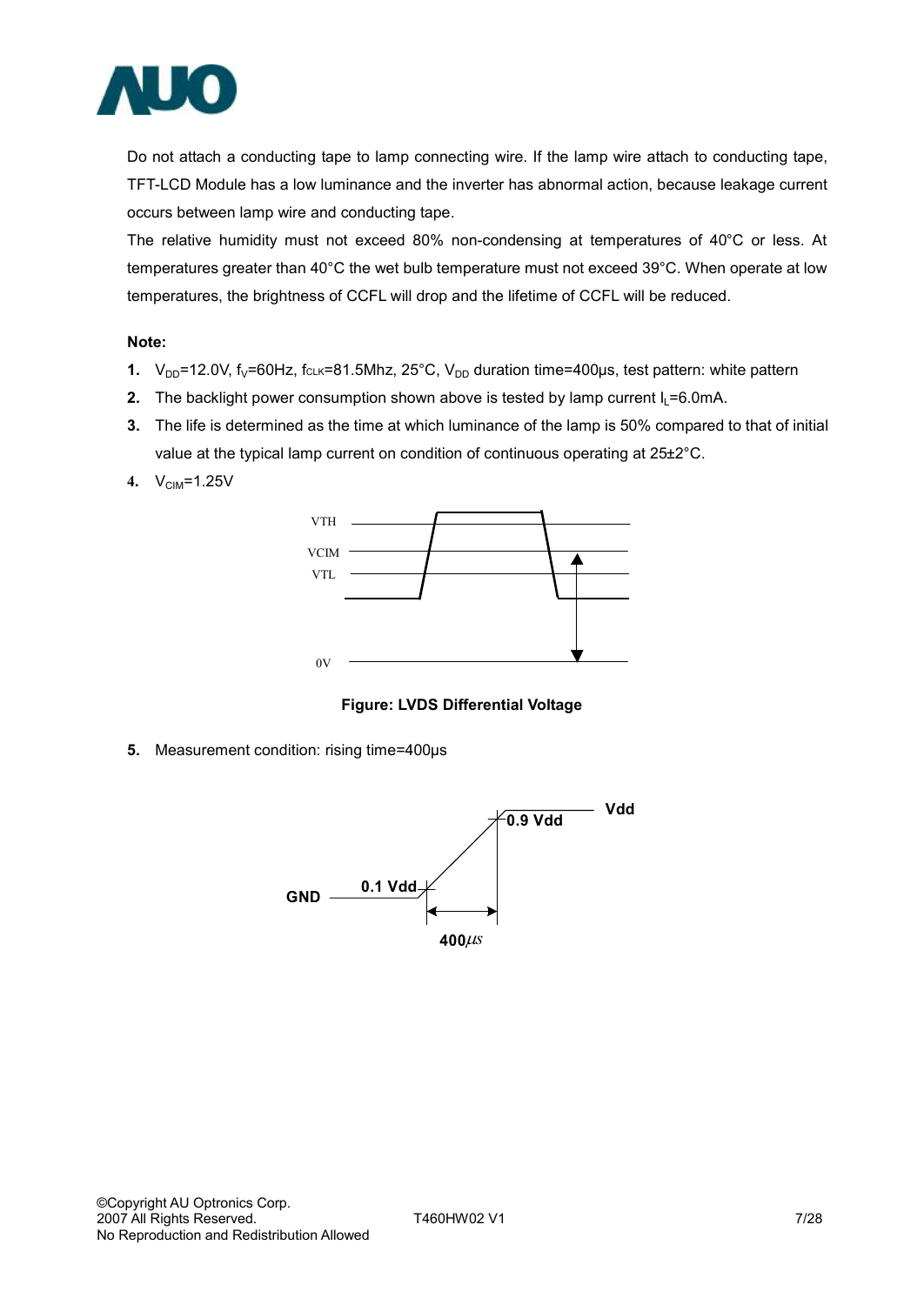

Do not attach a conducting tape to lamp connecting wire. If the lamp wire attach to conducting tape, TFT-LCD Module has a low luminance and the inverter has abnormal action, because leakage current occurs between lamp wire and conducting tape.

The relative humidity must not exceed 80% non-condensing at temperatures of 40°C or less. At temperatures greater than 40°C the wet bulb temperature must not exceed 39°C. When operate at low temperatures, the brightness of CCFL will drop and the lifetime of CCFL will be reduced.

#### **Note:**

- **1.**  $V_{DD}$ =12.0V, f<sub>V</sub>=60Hz, fcLk=81.5Mhz, 25°C,  $V_{DD}$  duration time=400µs, test pattern: white pattern
- **2.** The backlight power consumption shown above is tested by lamp current  $I_1 = 6.0$ mA.
- **3.** The life is determined as the time at which luminance of the lamp is 50% compared to that of initial value at the typical lamp current on condition of continuous operating at 25±2°C.
- **4.** V<sub>CIM</sub>=1.25V



**Figure: LVDS Differential Voltage** 

**5.** Measurement condition: rising time=400µs

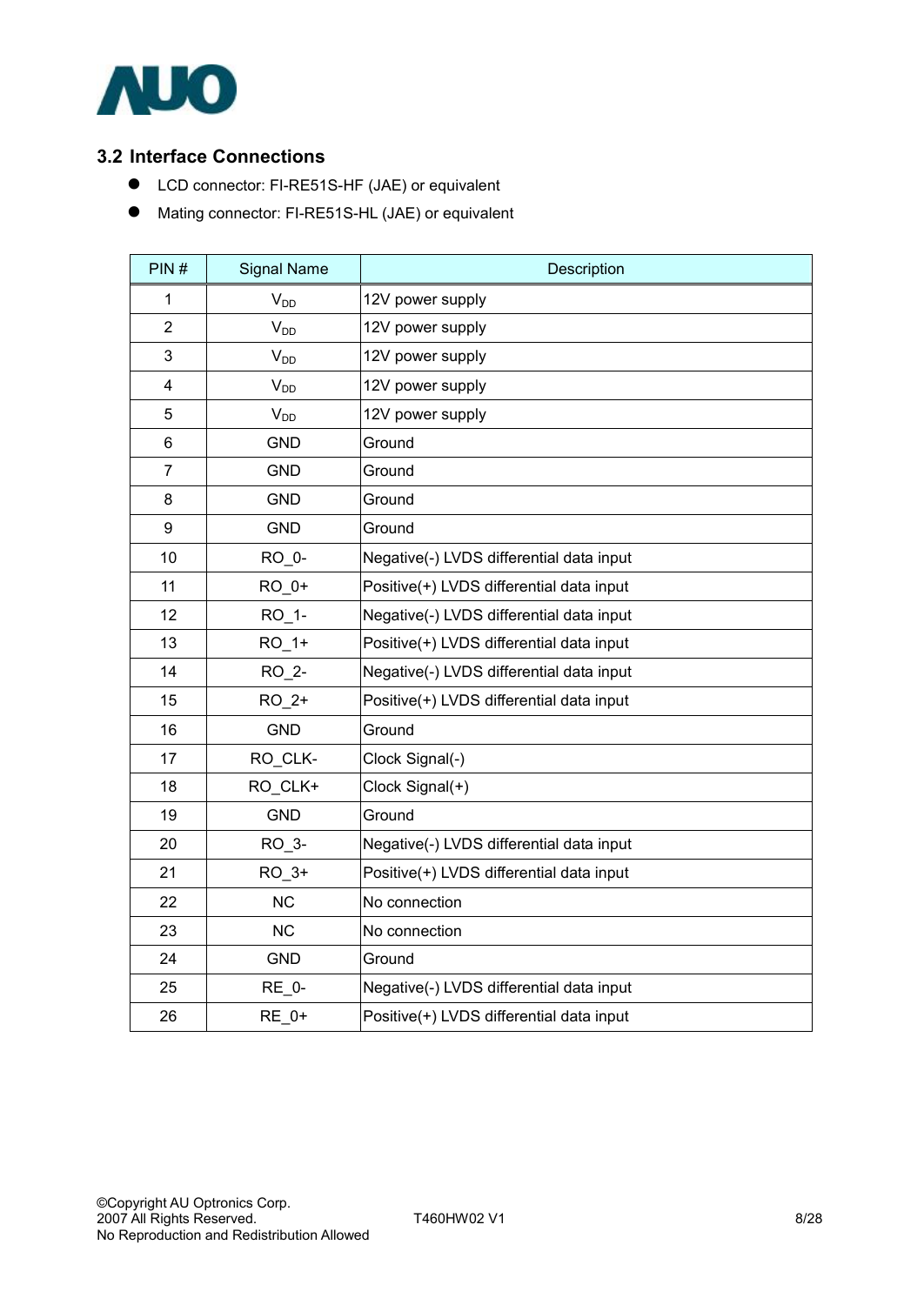

### **3.2 Interface Connections**

- LCD connector: FI-RE51S-HF (JAE) or equivalent
- $\bullet$  Mating connector: FI-RE51S-HL (JAE) or equivalent

| PIN#           | <b>Signal Name</b> | Description                              |
|----------------|--------------------|------------------------------------------|
| 1              | $V_{DD}$           | 12V power supply                         |
| $\overline{2}$ | $V_{DD}$           | 12V power supply                         |
| 3              | $V_{DD}$           | 12V power supply                         |
| $\overline{4}$ | $V_{DD}$           | 12V power supply                         |
| 5              | $V_{DD}$           | 12V power supply                         |
| 6              | <b>GND</b>         | Ground                                   |
| $\overline{7}$ | <b>GND</b>         | Ground                                   |
| 8              | <b>GND</b>         | Ground                                   |
| 9              | <b>GND</b>         | Ground                                   |
| 10             | RO 0-              | Negative(-) LVDS differential data input |
| 11             | RO_0+              | Positive(+) LVDS differential data input |
| 12             | RO_1-              | Negative(-) LVDS differential data input |
| 13             | $RO_1+$            | Positive(+) LVDS differential data input |
| 14             | RO 2-              | Negative(-) LVDS differential data input |
| 15             | $RO_2+$            | Positive(+) LVDS differential data input |
| 16             | <b>GND</b>         | Ground                                   |
| 17             | RO_CLK-            | Clock Signal(-)                          |
| 18             | RO CLK+            | Clock Signal(+)                          |
| 19             | <b>GND</b>         | Ground                                   |
| 20             | RO_3-              | Negative(-) LVDS differential data input |
| 21             | $RO_3+$            | Positive(+) LVDS differential data input |
| 22             | <b>NC</b>          | No connection                            |
| 23             | <b>NC</b>          | No connection                            |
| 24             | <b>GND</b>         | Ground                                   |
| 25             | <b>RE 0-</b>       | Negative(-) LVDS differential data input |
| 26             | RE 0+              | Positive(+) LVDS differential data input |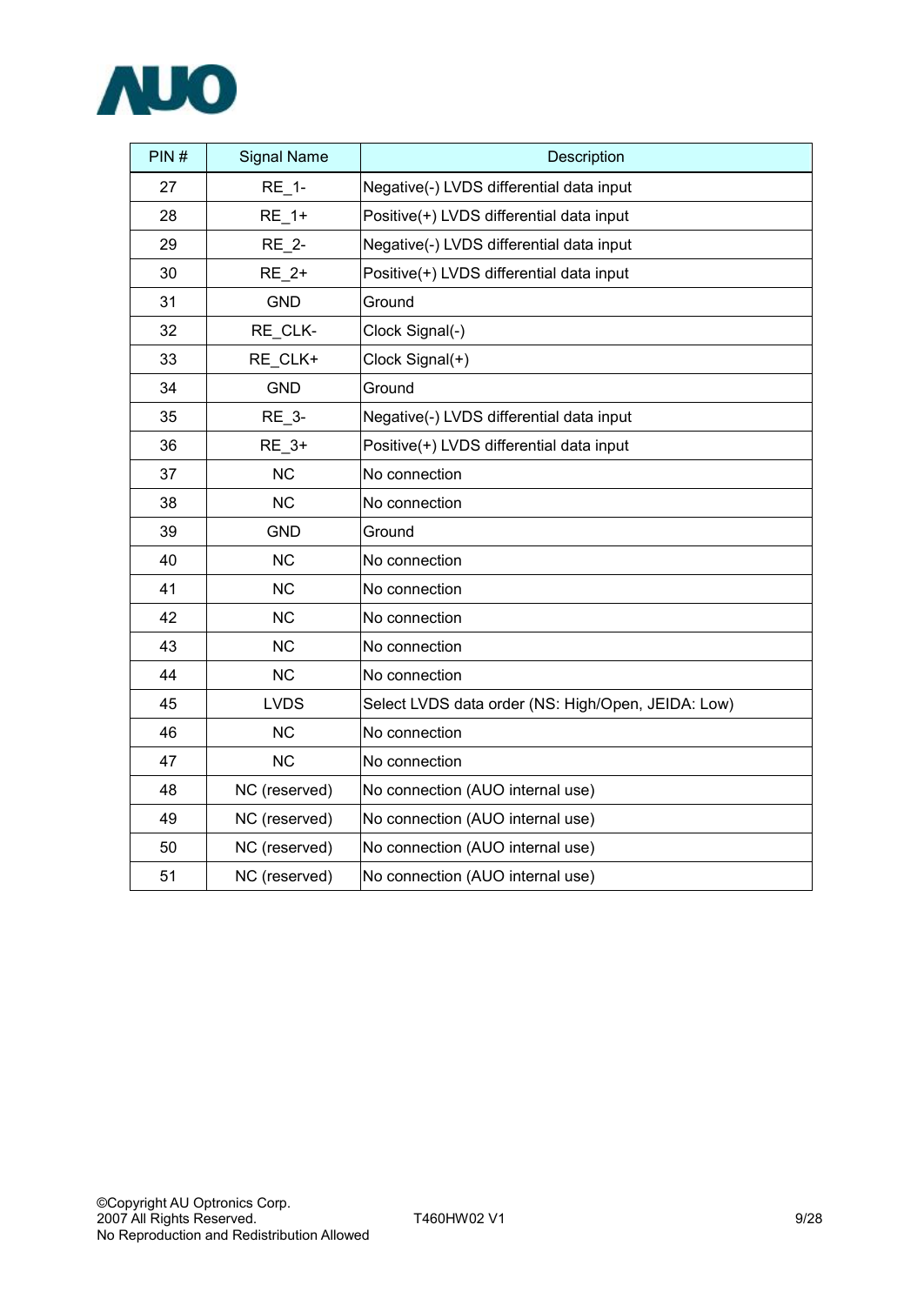

| PIN# | <b>Signal Name</b> | Description                                        |
|------|--------------------|----------------------------------------------------|
| 27   | <b>RE 1-</b>       | Negative(-) LVDS differential data input           |
| 28   | <b>RE 1+</b>       | Positive(+) LVDS differential data input           |
| 29   | <b>RE 2-</b>       | Negative(-) LVDS differential data input           |
| 30   | RE 2+              | Positive(+) LVDS differential data input           |
| 31   | <b>GND</b>         | Ground                                             |
| 32   | RE CLK-            | Clock Signal(-)                                    |
| 33   | RE_CLK+            | Clock Signal(+)                                    |
| 34   | <b>GND</b>         | Ground                                             |
| 35   | <b>RE 3-</b>       | Negative(-) LVDS differential data input           |
| 36   | RE 3+              | Positive(+) LVDS differential data input           |
| 37   | <b>NC</b>          | No connection                                      |
| 38   | <b>NC</b>          | No connection                                      |
| 39   | <b>GND</b>         | Ground                                             |
| 40   | <b>NC</b>          | No connection                                      |
| 41   | <b>NC</b>          | No connection                                      |
| 42   | <b>NC</b>          | No connection                                      |
| 43   | <b>NC</b>          | No connection                                      |
| 44   | <b>NC</b>          | No connection                                      |
| 45   | <b>LVDS</b>        | Select LVDS data order (NS: High/Open, JEIDA: Low) |
| 46   | <b>NC</b>          | No connection                                      |
| 47   | <b>NC</b>          | No connection                                      |
| 48   | NC (reserved)      | No connection (AUO internal use)                   |
| 49   | NC (reserved)      | No connection (AUO internal use)                   |
| 50   | NC (reserved)      | No connection (AUO internal use)                   |
| 51   | NC (reserved)      | No connection (AUO internal use)                   |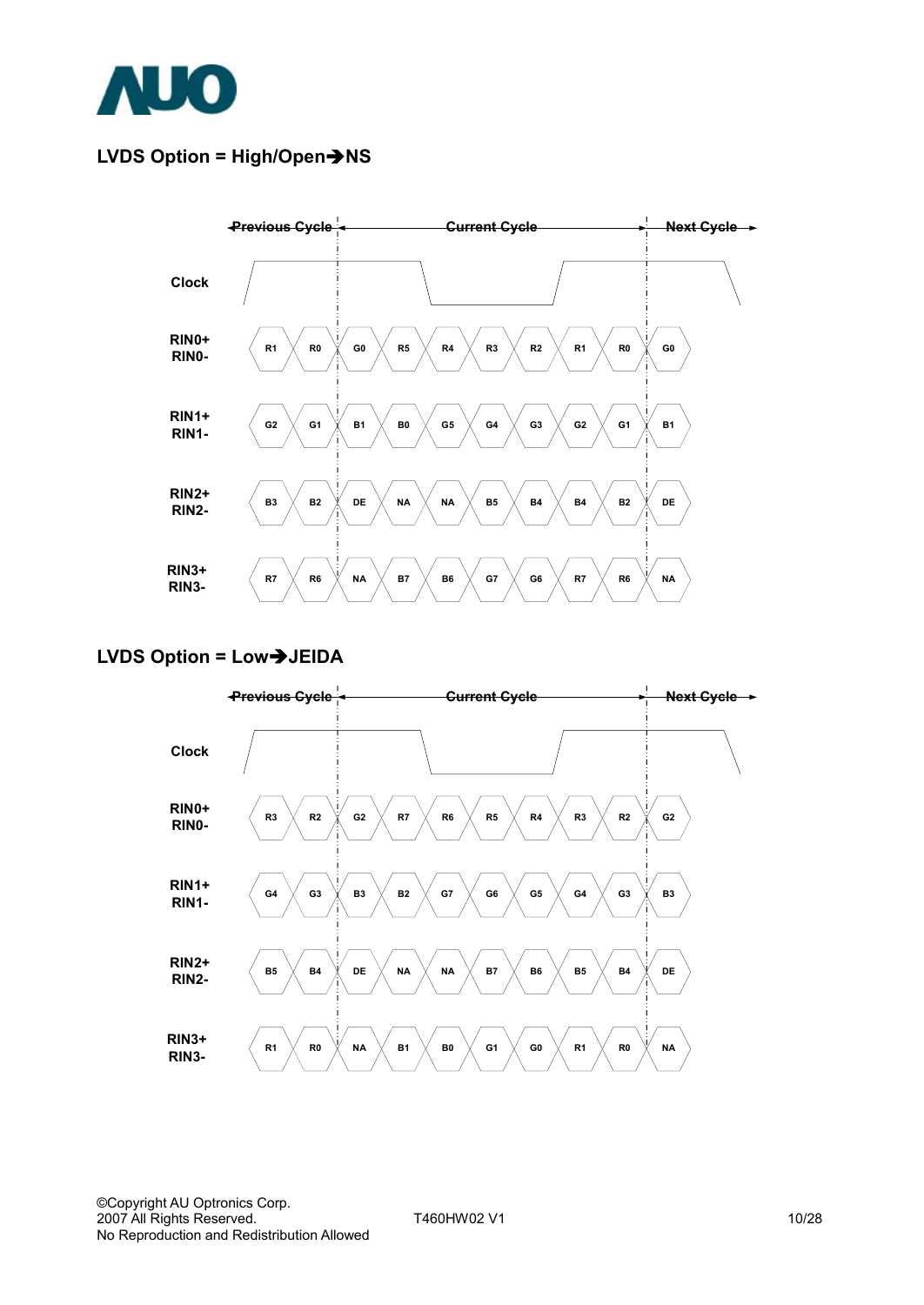

## **LVDS Option = High/Open→NS**



### LVDS Option = Low $\rightarrow$ JEIDA

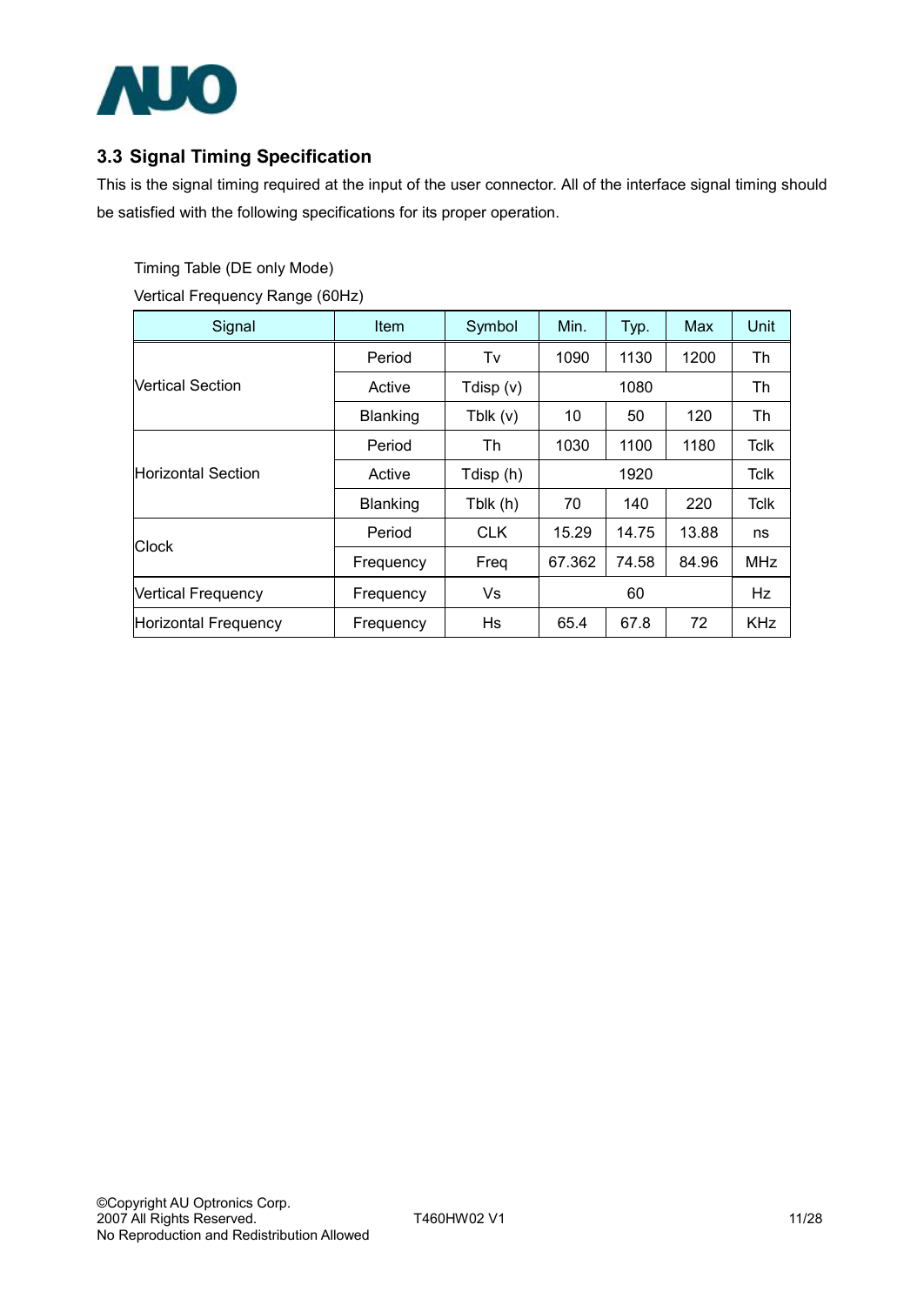

## **3.3 Signal Timing Specification**

This is the signal timing required at the input of the user connector. All of the interface signal timing should be satisfied with the following specifications for its proper operation.

Timing Table (DE only Mode)

Vertical Frequency Range (60Hz)

| Signal                                                                                                | <b>Item</b>                                                                                                                                                                                                                                                | Symbol    | Min. | Typ.        | Max   | Unit        |
|-------------------------------------------------------------------------------------------------------|------------------------------------------------------------------------------------------------------------------------------------------------------------------------------------------------------------------------------------------------------------|-----------|------|-------------|-------|-------------|
|                                                                                                       | Period                                                                                                                                                                                                                                                     | Tv        | 1090 | 1130        | 1200  | Th          |
| <b>Vertical Section</b>                                                                               | Active                                                                                                                                                                                                                                                     | Tdisp (v) |      | Th          |       |             |
|                                                                                                       | 1080<br>Blanking<br>Tblk $(v)$<br>10<br>50<br>Th<br>1030<br>Period<br>1920<br>Active<br>Tdisp (h)<br>Blanking<br>70<br>Tblk (h)<br>140<br><b>CLK</b><br>15.29<br>Period<br>67.362<br>Freq<br>Frequency<br>Vs<br>60<br>Frequency<br>Hs<br>65.4<br>Frequency |           | 120  | Th          |       |             |
|                                                                                                       |                                                                                                                                                                                                                                                            |           |      | 1100        | 1180  | <b>Tclk</b> |
|                                                                                                       |                                                                                                                                                                                                                                                            |           |      | <b>Tclk</b> |       |             |
|                                                                                                       |                                                                                                                                                                                                                                                            |           |      |             | 220   | <b>Tclk</b> |
| <b>Horizontal Section</b><br><b>Clock</b><br><b>Vertical Frequency</b><br><b>Horizontal Frequency</b> |                                                                                                                                                                                                                                                            |           |      | 14.75       | 13.88 | ns          |
|                                                                                                       |                                                                                                                                                                                                                                                            |           |      | 74.58       | 84.96 | <b>MHz</b>  |
|                                                                                                       |                                                                                                                                                                                                                                                            |           |      |             |       |             |
|                                                                                                       |                                                                                                                                                                                                                                                            |           |      | 67.8        | 72    | <b>KHz</b>  |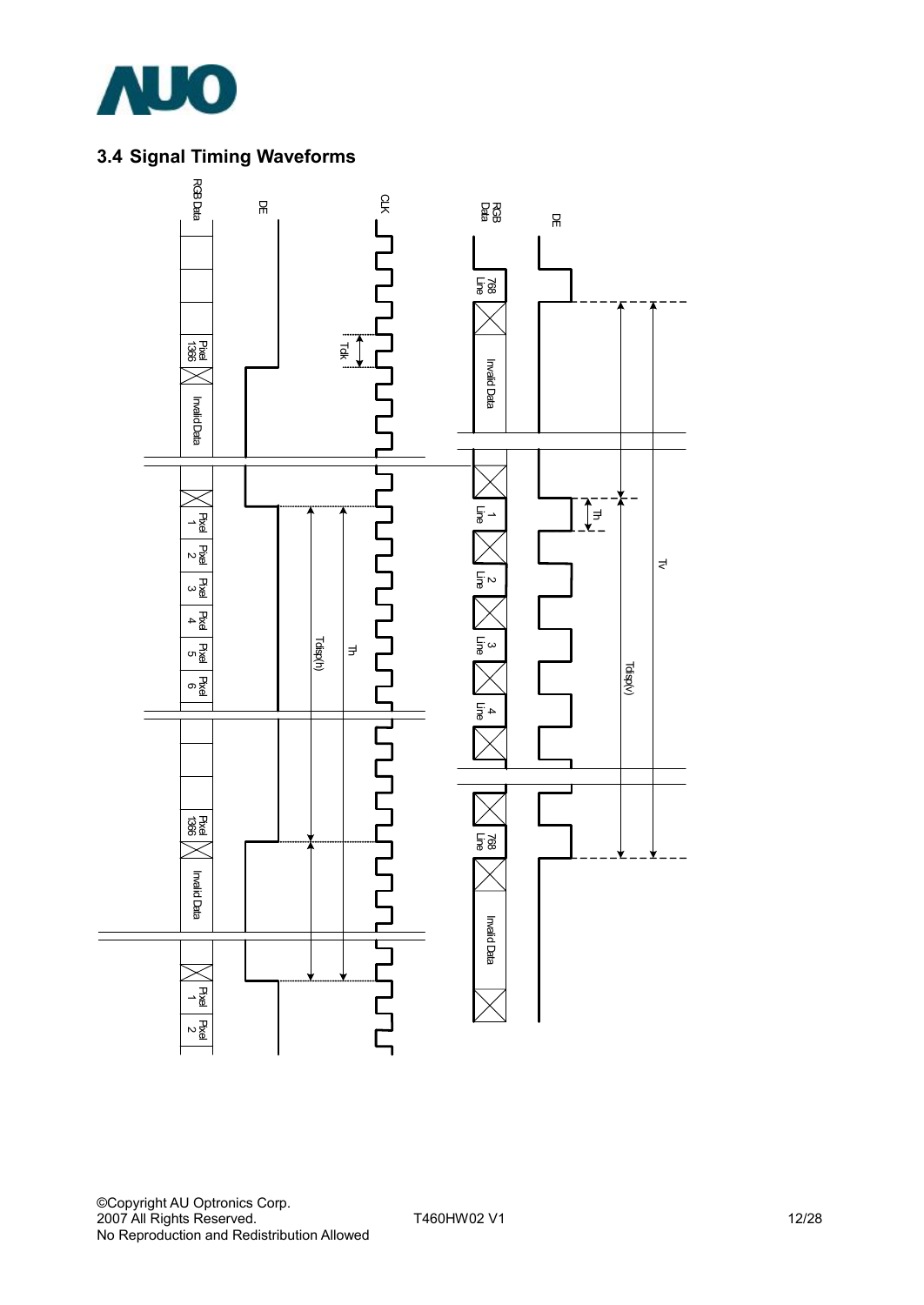

## **3.4 Signal Timing Waveforms**

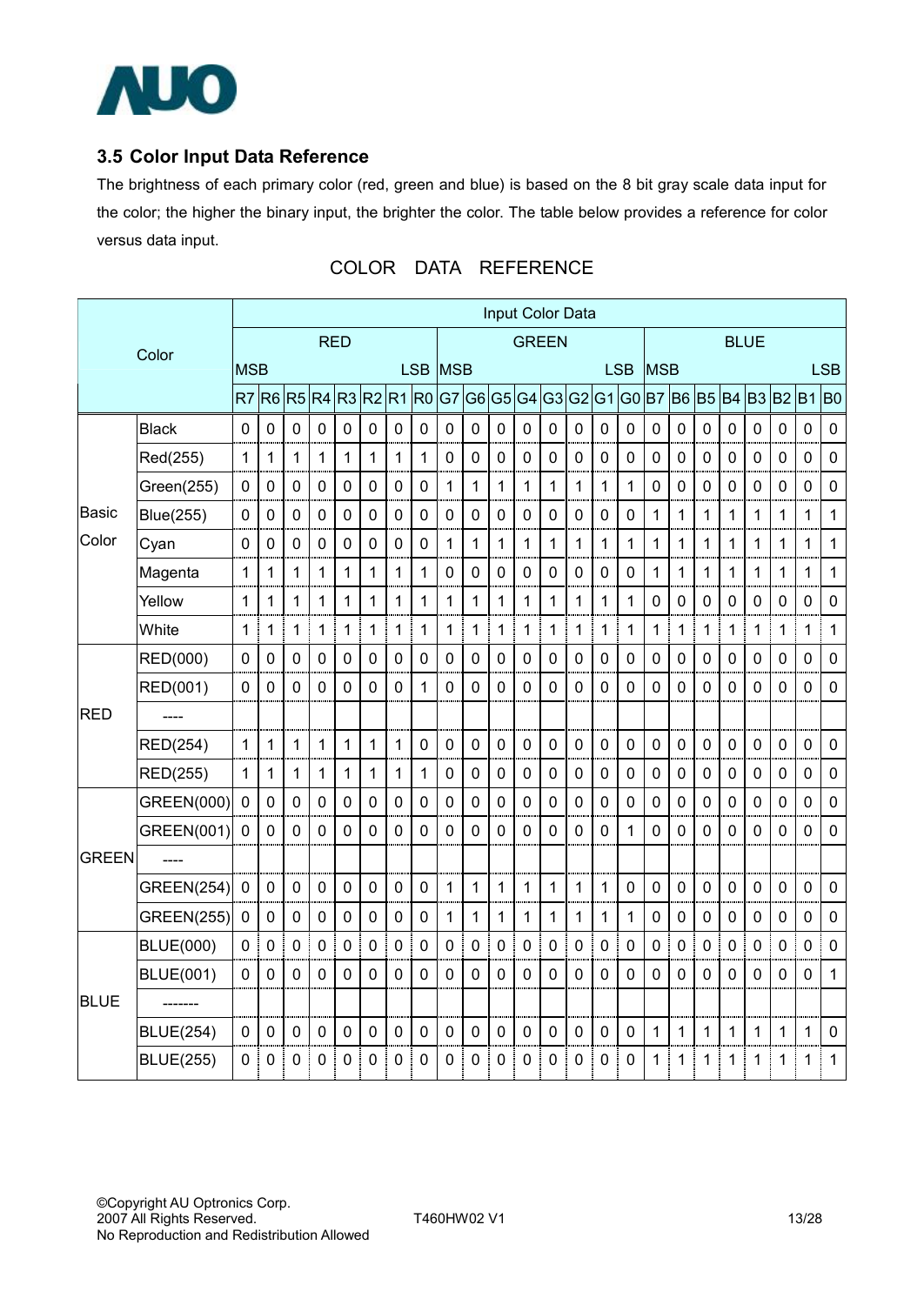

## **3.5 Color Input Data Reference**

The brightness of each primary color (red, green and blue) is based on the 8 bit gray scale data input for the color; the higher the binary input, the brighter the color. The table below provides a reference for color versus data input.

|              |                   |                |                |                |                  |                |              |              |                |             |                  |                | Input Color Data |                |                |                     |                |              |             |                |             |              |             |              |                |
|--------------|-------------------|----------------|----------------|----------------|------------------|----------------|--------------|--------------|----------------|-------------|------------------|----------------|------------------|----------------|----------------|---------------------|----------------|--------------|-------------|----------------|-------------|--------------|-------------|--------------|----------------|
|              | Color             | <b>RED</b>     |                |                |                  |                |              | <b>GREEN</b> |                |             |                  |                |                  | <b>BLUE</b>    |                |                     |                |              |             |                |             |              |             |              |                |
|              |                   | <b>MSB</b>     |                |                |                  |                |              |              |                | LSB MSB     |                  |                |                  |                |                |                     | <b>LSB</b>     | <b>MSB</b>   |             |                |             |              |             |              | <b>LSB</b>     |
|              |                   | R <sub>7</sub> | R <sub>6</sub> | R <sub>5</sub> | R4               | R3 R2          |              | R1           | R <sub>0</sub> | G7          | G <sub>6</sub>   | G <sub>5</sub> | G <sub>4</sub>   | G <sub>3</sub> | G <sub>2</sub> | G <sub>1</sub>      | G <sub>0</sub> | <b>B7</b>    | <b>B6</b>   | B <sub>5</sub> | <b>B4</b>   |              | B3 B2 B1    |              | B <sub>0</sub> |
|              | <b>Black</b>      | $\pmb{0}$      | 0              | $\mathbf 0$    | $\mathbf 0$      | $\pmb{0}$      | 0            | $\pmb{0}$    | $\mathbf 0$    | 0           | 0                | $\mathbf 0$    | $\mathbf 0$      | 0              | 0              | $\mathbf 0$         | 0              | 0            | 0           | $\mathbf 0$    | $\mathbf 0$ | 0            | 0           | $\mathbf 0$  | $\pmb{0}$      |
|              | Red(255)          | 1              | 1              | 1              | 1                | $\mathbf{1}$   | $\mathbf{1}$ | 1            | 1              | 0           | $\mathbf 0$      | 0              | 0                | 0              | 0              | $\mathbf 0$         | 0              | $\pmb{0}$    | $\mathbf 0$ | $\mathbf 0$    | $\mathbf 0$ | 0            | 0           | 0            | 0              |
|              | Green(255)        | 0              | $\mathbf 0$    | $\mathbf 0$    | $\mathbf 0$      | 0              | 0            | $\mathbf 0$  | $\mathbf 0$    | 1           | 1                | 1              | 1                | 1              | 1              | $\mathbf{1}$        | 1              | 0            | $\mathbf 0$ | $\overline{0}$ | $\mathbf 0$ | $\mathbf 0$  | 0           | $\mathbf 0$  | $\mathbf 0$    |
| Basic        | Blue(255)         | $\mathbf 0$    | 0              | $\mathbf 0$    | $\mathbf 0$      | $\mathbf 0$    | 0            | $\pmb{0}$    | 0              | 0           | 0                | 0              | 0                | 0              | $\mathbf 0$    | $\mathbf 0$         | 0              | 1            | 1<br>J.     | 1              | 1           | 1            | 1           | 1            | $\mathbf 1$    |
| Color        | Cyan              | 0              | 0              | 0              | $\mathbf 0$      | $\pmb{0}$      | 0            | $\mathbf 0$  | 0              | 1           | 1                | 1              | 1                | 1              | 1              | 1                   | 1              | $\mathbf{1}$ | 1           | 1              | 1           | 1            | 1           | 1            | $\mathbf 1$    |
|              | Magenta           | 1              | 1              | $\mathbf{1}$   | 1                | $\mathbf{1}$   | $\mathbf{1}$ | $\mathbf{1}$ | 1              | $\mathbf 0$ | $\mathbf 0$      | $\overline{0}$ | $\mathbf 0$      | $\mathbf 0$    | $\mathbf 0$    | $\mathbf 0$         | 0              | $\mathbf{1}$ | 1           | 1              | 1           | 1            | 1           | $\mathbf{1}$ | $\mathbf{1}$   |
|              | Yellow            | 1              | 1              | 1              | 1                | $\mathbf 1$    | 1            | 1            | 1              | 1           | 1                | 1              | 1                | 1              | 1              | 1                   | 1              | 0            | 0           | 0              | 0           | $\mathbf 0$  | 0           | 0            | $\pmb{0}$      |
|              | White             | 1              | 1              | $\mathbf{1}$   | 1                | 1              | 1            | 1            | 1              | 1           | 1                | 1              | 1                | 1              | 1              | 1                   | 1              | 1            | 1           | 1              | 1           | 1            | 1           | 1            | 1              |
|              | RED(000)          | $\mathbf 0$    | 0              | $\mathbf 0$    | $\mathbf 0$      | $\pmb{0}$      | 0            | $\pmb{0}$    | $\mathbf 0$    | $\pmb{0}$   | $\mathbf 0$      | $\pmb{0}$      | $\mathbf 0$      | 0              | $\pmb{0}$      | $\mathsf{O}\xspace$ | 0              | 0            | $\pmb{0}$   | $\pmb{0}$      | 0           | $\pmb{0}$    | $\pmb{0}$   | 0            | $\pmb{0}$      |
|              | RED(001)          | 0              | 0              | $\mathbf 0$    | $\mathbf 0$      | $\overline{0}$ | 0            | 0            | 1              | 0           | 0                | $\mathbf 0$    | 0                | 0              | 0              | 0                   | 0              | 0            | 0           | $\overline{0}$ | 0           | $\mathbf 0$  | 0           | 0            | $\mathbf 0$    |
| <b>RED</b>   |                   |                |                |                |                  |                |              |              |                |             |                  |                |                  |                |                |                     |                |              |             |                |             |              |             |              |                |
|              | RED(254)          | $\mathbf{1}$   | 1              | $\mathbf 1$    | 1                | $\mathbf{1}$   | $\mathbf{1}$ | 1            | $\mathbf 0$    | $\pmb{0}$   | $\mathbf 0$      | $\mathbf 0$    | $\mathbf 0$      | $\mathbf 0$    | $\mathbf 0$    | $\mathbf 0$         | $\pmb{0}$      | $\pmb{0}$    | $\mathbf 0$ | $\overline{0}$ | 0           | $\mathbf 0$  | $\mathbf 0$ | 0            | $\pmb{0}$      |
|              | <b>RED(255)</b>   | 1              | 1              | $\mathbf{1}$   | $\mathbf{1}$     | $\mathbf{1}$   | 1            | $\mathbf{1}$ | 1              | $\mathbf 0$ | $\mathbf 0$      | $\mathbf 0$    | $\mathbf 0$      | $\mathbf 0$    | $\mathbf 0$    | $\mathbf 0$         | $\mathbf 0$    | $\mathbf 0$  | $\mathbf 0$ | $\mathbf 0$    | $\mathbf 0$ | 0            | 0           | 0            | $\mathbf 0$    |
|              | GREEN(000)        | $\mathbf 0$    | 0              | $\mathbf 0$    | $\mathbf 0$      | $\pmb{0}$      | 0            | $\pmb{0}$    | 0              | 0           | $\boldsymbol{0}$ | $\mathbf 0$    | 0                | 0              | 0              | $\mathbf 0$         | 0              | $\pmb{0}$    | 0           | $\mathbf 0$    | 0           | 0            | 0           | 0            | $\pmb{0}$      |
|              | GREEN(001)        | 0              | 0              | $\mathbf 0$    | $\mathbf 0$      | 0              | 0            | $\mathbf 0$  | $\Omega$       | $\mathbf 0$ | 0                | 0              | 0                | 0              | 0              | 0                   | 1              | 0            | 0           | $\mathbf 0$    | $\Omega$    | $\mathbf 0$  | 0           | 0            | $\pmb{0}$      |
| <b>GREEN</b> |                   |                |                |                |                  |                |              |              |                |             |                  |                |                  |                |                |                     |                |              |             |                |             |              |             |              |                |
|              | <b>GREEN(254)</b> | $\mathbf 0$    | $\mathbf 0$    | 0              | $\mathbf 0$      | $\mathbf 0$    | $\mathbf 0$  | $\mathbf 0$  | $\mathbf 0$    | 1           | 1                | 1              | 1                | 1              | 1              | $\mathbf 1$         | $\mathbf 0$    | $\mathbf 0$  | $\mathbf 0$ | $\mathbf 0$    | $\mathbf 0$ | $\mathbf 0$  | $\mathbf 0$ | 0            | $\mathbf 0$    |
|              | <b>GREEN(255)</b> | $\mathbf 0$    | $\mathbf 0$    | $\mathbf 0$    | $\mathbf 0$      | $\pmb{0}$      | 0            | $\pmb{0}$    | $\pmb{0}$      | 1           | 1                | 1              | 1                | 1              | 1              | $\mathbf 1$         | 1              | $\pmb{0}$    | $\mathbf 0$ | $\mathbf 0$    | $\mathbf 0$ | 0            | $\mathbf 0$ | 0            | $\pmb{0}$      |
|              | <b>BLUE(000)</b>  | $\mathbf 0$    | 0              | $\mathbf 0$    | 0                | $\mathbf 0$    | 0            | $\mathbf 0$  | 0              | 0           | $\mathbf 0$      | $\mathbf 0$    | 0                | 0              | $\mathbf 0$    | $\mathbf 0$         | 0              | 0            | 0           | 0              | 0           | $\mathbf 0$  | 0           | 0            | $\mathbf 0$    |
|              | <b>BLUE(001)</b>  | $\mathbf 0$    | 0              | $\mathbf 0$    | 0                | 0              | 0            | 0            | 0              | $\mathbf 0$ | $\mathbf 0$      | $\mathbf 0$    | $\mathbf{0}$     | $\mathbf 0$    | $\mathbf 0$    | 0                   | 0              | 0            | $\mathbf 0$ | $\mathbf 0$    | 0           | 0            | 0           | 0            | $\mathbf{1}$   |
| <b>BLUE</b>  |                   |                |                |                |                  |                |              |              |                |             |                  |                |                  |                |                |                     |                |              |             |                |             |              |             |              |                |
|              | <b>BLUE(254)</b>  | $\mathbf 0$    | $\mathbf 0$    | $\mathbf 0$    | $\mathbf 0$      | $\mathbf 0$    | $\mathbf 0$  | $\mathbf 0$  | $\mathbf 0$    | $\mathbf 0$ | $\mathbf 0$      | $\mathbf 0$    | $\overline{0}$   | $\mathbf 0$    | $\mathbf 0$    | $\mathbf 0$         | $\mathbf 0$    | $\mathbf{1}$ | 1           | $\mathbf{1}$   | 1           | $\mathbf{1}$ | 1           | $\mathbf{1}$ | $\mathbf 0$    |
|              | <b>BLUE(255)</b>  | 0              | 0              | $\mathbf 0$    | $\boldsymbol{0}$ | 0              | 0            | 0            | 0              | 0           | 0                | 0              | 0                | 0              | 0              | 0                   | 0              | 1            | 1           | 1              | 1           | 1            | 1           | 1            | 1              |

## COLOR DATA REFERENCE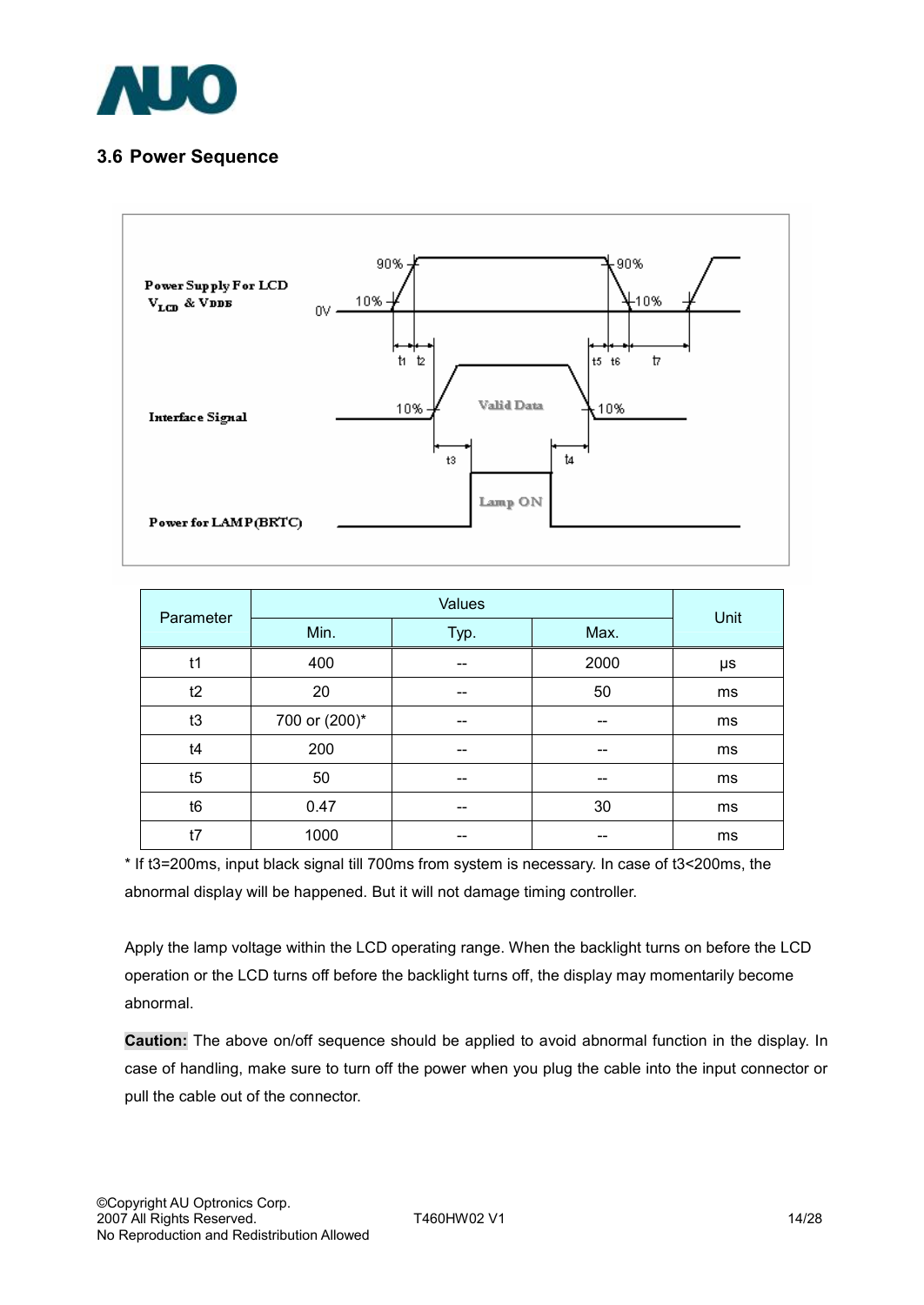

### **3.6 Power Sequence**



| Parameter      |               | Unit |      |    |  |  |
|----------------|---------------|------|------|----|--|--|
|                | Min.          | Typ. | Max. |    |  |  |
| t1             | 400           |      | 2000 | μs |  |  |
| t2             | 20            |      | 50   | ms |  |  |
| t3             | 700 or (200)* | --   | --   | ms |  |  |
| t4             | 200           | --   | --   | ms |  |  |
| t5             | 50            | --   | --   | ms |  |  |
| t <sub>6</sub> | 0.47          |      | 30   | ms |  |  |
| t7             | 1000          |      |      | ms |  |  |

\* If t3=200ms, input black signal till 700ms from system is necessary. In case of t3<200ms, the abnormal display will be happened. But it will not damage timing controller.

Apply the lamp voltage within the LCD operating range. When the backlight turns on before the LCD operation or the LCD turns off before the backlight turns off, the display may momentarily become abnormal.

**Caution:** The above on/off sequence should be applied to avoid abnormal function in the display. In case of handling, make sure to turn off the power when you plug the cable into the input connector or pull the cable out of the connector.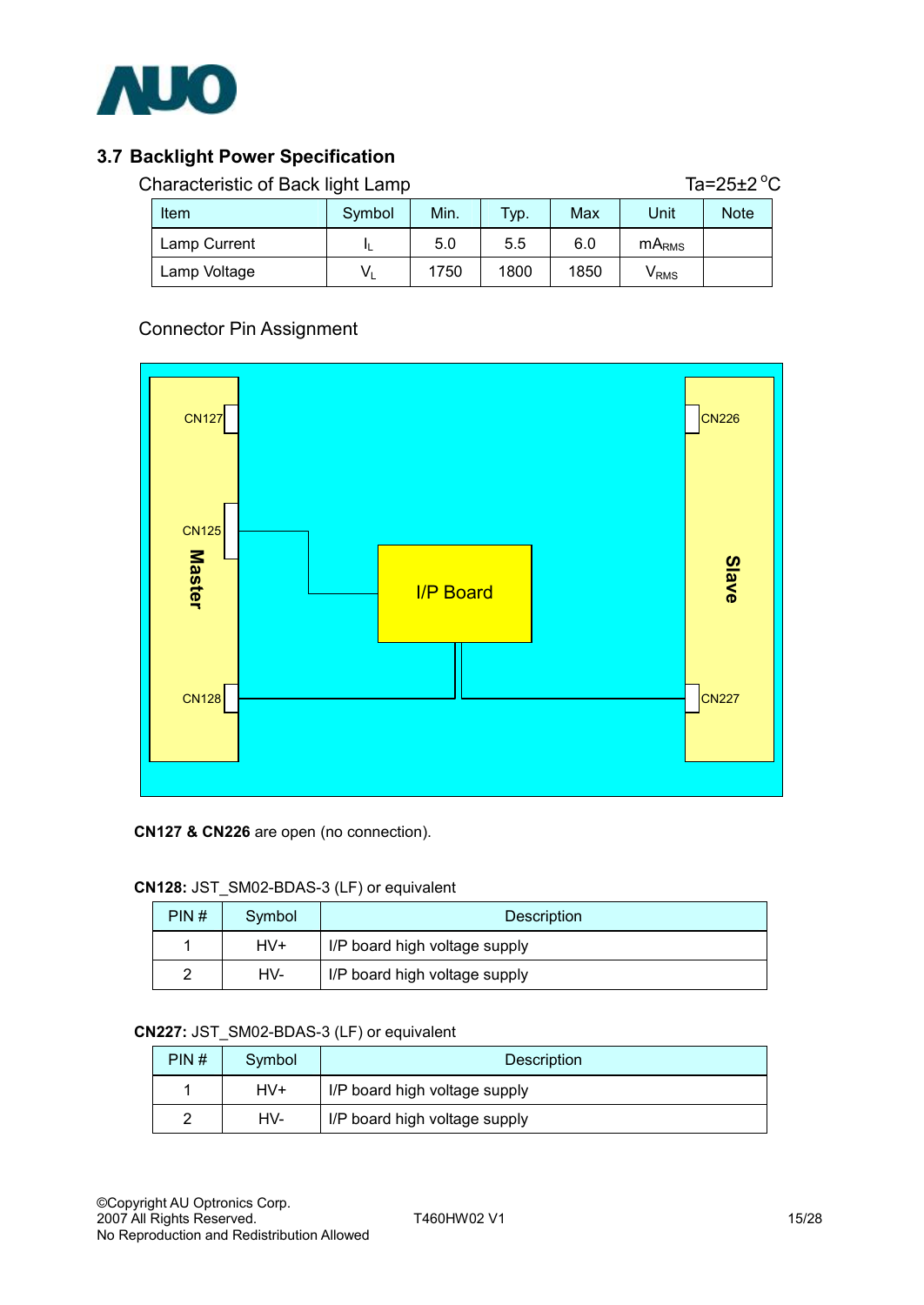

## **3.7 Backlight Power Specification**

| Characteristic of Back light Lamp |         | Ta=25 $\pm$ 2 $^{\circ}$ C |         |      |                             |             |  |
|-----------------------------------|---------|----------------------------|---------|------|-----------------------------|-------------|--|
| <b>Item</b>                       | Symbol  | Min.                       | $TYP$ . | Max  | Unit                        | <b>Note</b> |  |
| Lamp Current                      |         | 5.0                        | 5.5     | 6.0  | $mA_{RMS}$                  |             |  |
| Lamp Voltage                      | $V_{1}$ | 1750                       | 1800    | 1850 | $\mathsf{V}_{\mathsf{RMS}}$ |             |  |

### Connector Pin Assignment



#### **CN127 & CN226** are open (no connection).

#### **CN128:** JST\_SM02-BDAS-3 (LF) or equivalent

| PIN# | Symbol | <b>Description</b>            |  |  |  |
|------|--------|-------------------------------|--|--|--|
|      | HV+    | I/P board high voltage supply |  |  |  |
| 2    | HV-    | I/P board high voltage supply |  |  |  |

#### **CN227:** JST\_SM02-BDAS-3 (LF) or equivalent

| PIN# | Symbol | <b>Description</b>            |  |
|------|--------|-------------------------------|--|
|      | HV+    | IP board high voltage supply  |  |
|      | HV-    | I/P board high voltage supply |  |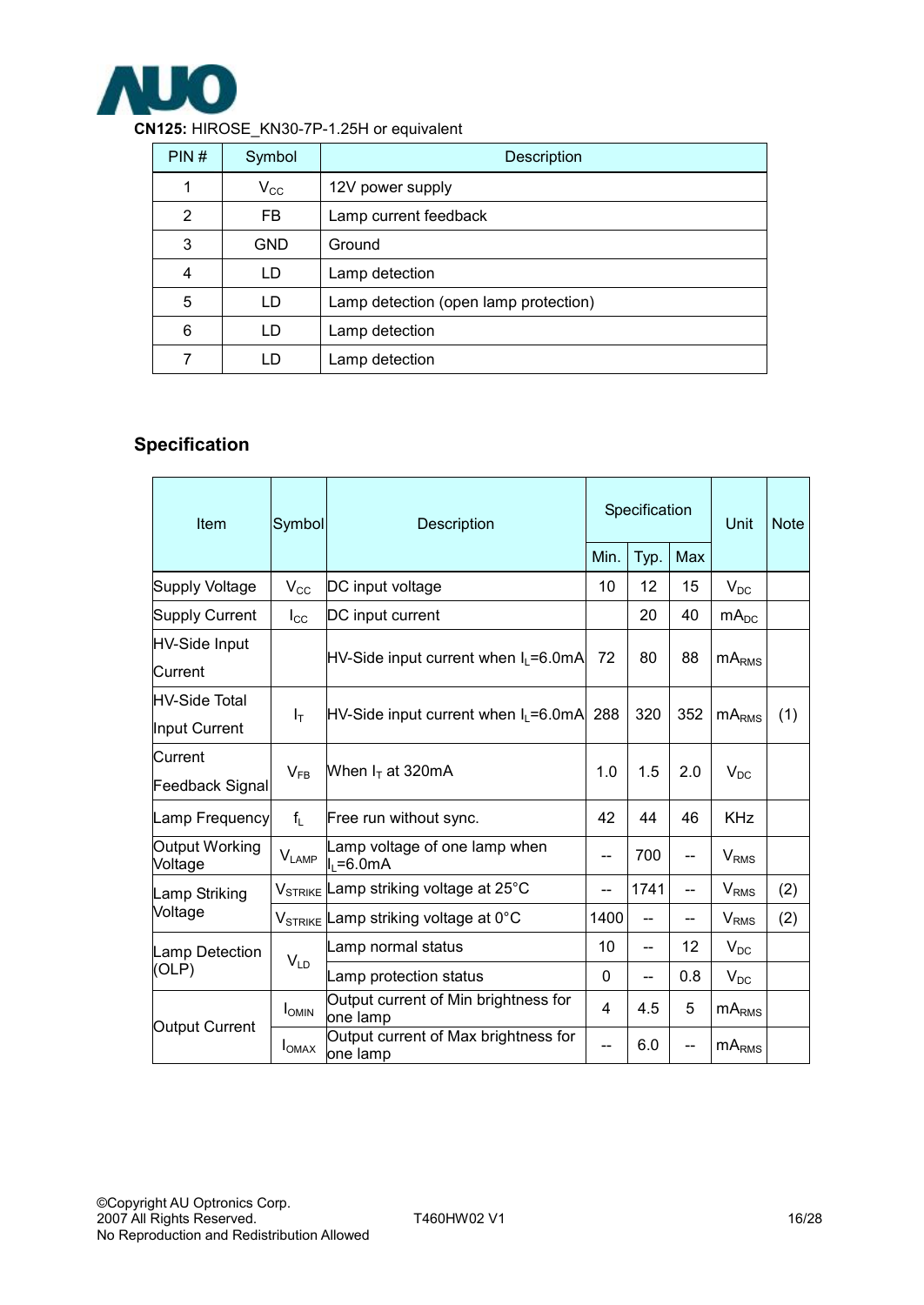

| CN125: HIROSE_KN30-7P-1.25H or equivalent |  |
|-------------------------------------------|--|
|                                           |  |

| PIN# | Symbol       | <b>Description</b>                    |  |  |  |
|------|--------------|---------------------------------------|--|--|--|
| 1    | $V_{\rm CC}$ | 12V power supply                      |  |  |  |
| 2    | <b>FB</b>    | Lamp current feedback                 |  |  |  |
| 3    | <b>GND</b>   | Ground                                |  |  |  |
| 4    | LD           | Lamp detection                        |  |  |  |
| 5    | LD           | Lamp detection (open lamp protection) |  |  |  |
| 6    | LD           | Lamp detection                        |  |  |  |
| 7    | LD           | Lamp detection                        |  |  |  |

## **Specification**

| Item                                  | Symbol                                                               | Description                                            |       | Specification |                 |                         | <b>Note</b> |
|---------------------------------------|----------------------------------------------------------------------|--------------------------------------------------------|-------|---------------|-----------------|-------------------------|-------------|
|                                       |                                                                      |                                                        |       | Typ.          | Max             |                         |             |
| Supply Voltage                        | $V_{\rm CC}$                                                         | DC input voltage                                       | 10    | 12            | 15              | $V_{DC}$                |             |
| Supply Current                        | $I_{\rm CC}$                                                         | DC input current                                       |       | 20            | 40              | mA <sub>DC</sub>        |             |
| <b>HV-Side Input</b><br>lCurrent      | $HV-Side$ input current when $I_L = 6.0mA$                           |                                                        | 72    | 80            | 88              | mA <sub>RMS</sub>       |             |
| <b>HV-Side Total</b><br>Input Current | Iт                                                                   | $HV-Side$ input current when $I_L = 6.0 \text{mA}$ 288 |       | 320           | 352             | mA <sub>RMS</sub>       | (1)         |
| Current<br><b>Feedback Signal</b>     | $V_{FR}$                                                             | When $I_T$ at 320mA                                    | 1.0   | 1.5           | 2.0             | $V_{DC}$                |             |
| Lamp Frequency                        | $f_L$                                                                | Free run without sync.                                 |       | 44            | 46              | <b>KHz</b>              |             |
| Output Working<br>Voltage             | Lamp voltage of one lamp when<br>$V_{\mathsf{LAMP}}$<br>$I1 = 6.0mA$ |                                                        | --    | 700           | --              | V <sub>RMS</sub>        |             |
| Lamp Striking                         |                                                                      | V <sub>STRIKE</sub> Lamp striking voltage at 25°C      | --    | 1741          | $-$             | <b>V</b> <sub>RMS</sub> | (2)         |
| Voltage                               |                                                                      | V <sub>STRIKE</sub> Lamp striking voltage at 0°C       | 1400  | --            |                 | V <sub>RMS</sub>        | (2)         |
| Lamp Detection                        |                                                                      | Lamp normal status                                     | 10    | --            | 12 <sup>°</sup> | $V_{DC}$                |             |
| (OLP)                                 | $V_{LD}$                                                             | Lamp protection status                                 | 0     | --            | 0.8             | $V_{DC}$                |             |
| Output Current                        | I <sub>OMIN</sub>                                                    | Output current of Min brightness for<br>one lamp       | 4     | 4.5           | 5               | mA <sub>RMS</sub>       |             |
|                                       | I <sub>OMAX</sub>                                                    | Output current of Max brightness for<br>one lamp       | $- -$ | 6.0           | --              | mA <sub>RMS</sub>       |             |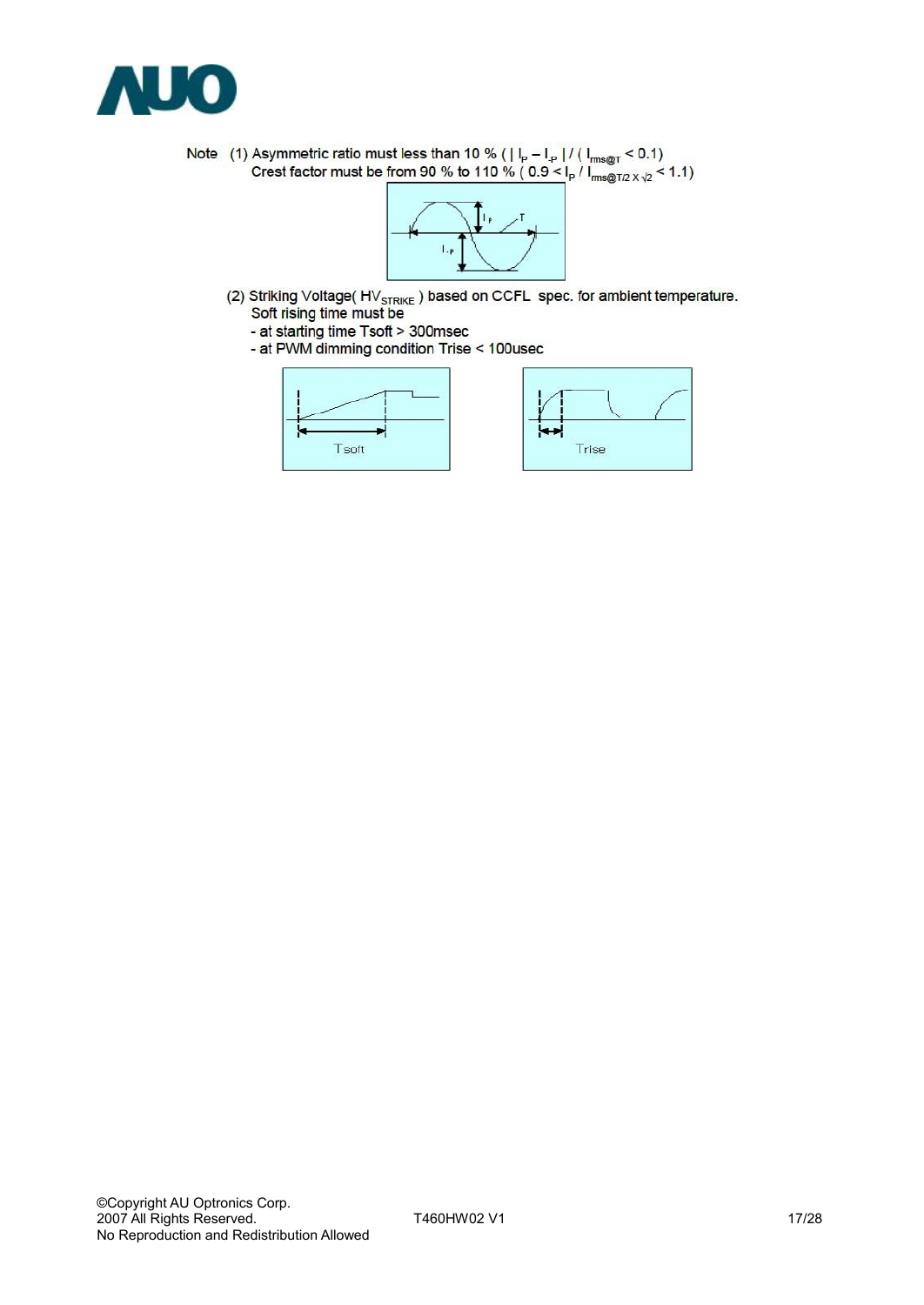

Note (1) Asymmetric ratio must less than 10 % ( $|I_p - I_p| / (I_{rms@T} < 0.1)$ <br>Crest factor must be from 90 % to 110 % ( $0.9 < |I_p / I_{rms@T/2} < 1.1)$ 



- (2) Striking Voltage( $HV_{STRIKE}$ ) based on CCFL spec. for ambient temperature.<br>Soft rising time must be
	-
	- at starting time Tsoft > 300msec<br>- at PWM dimming condition Trise < 100usec

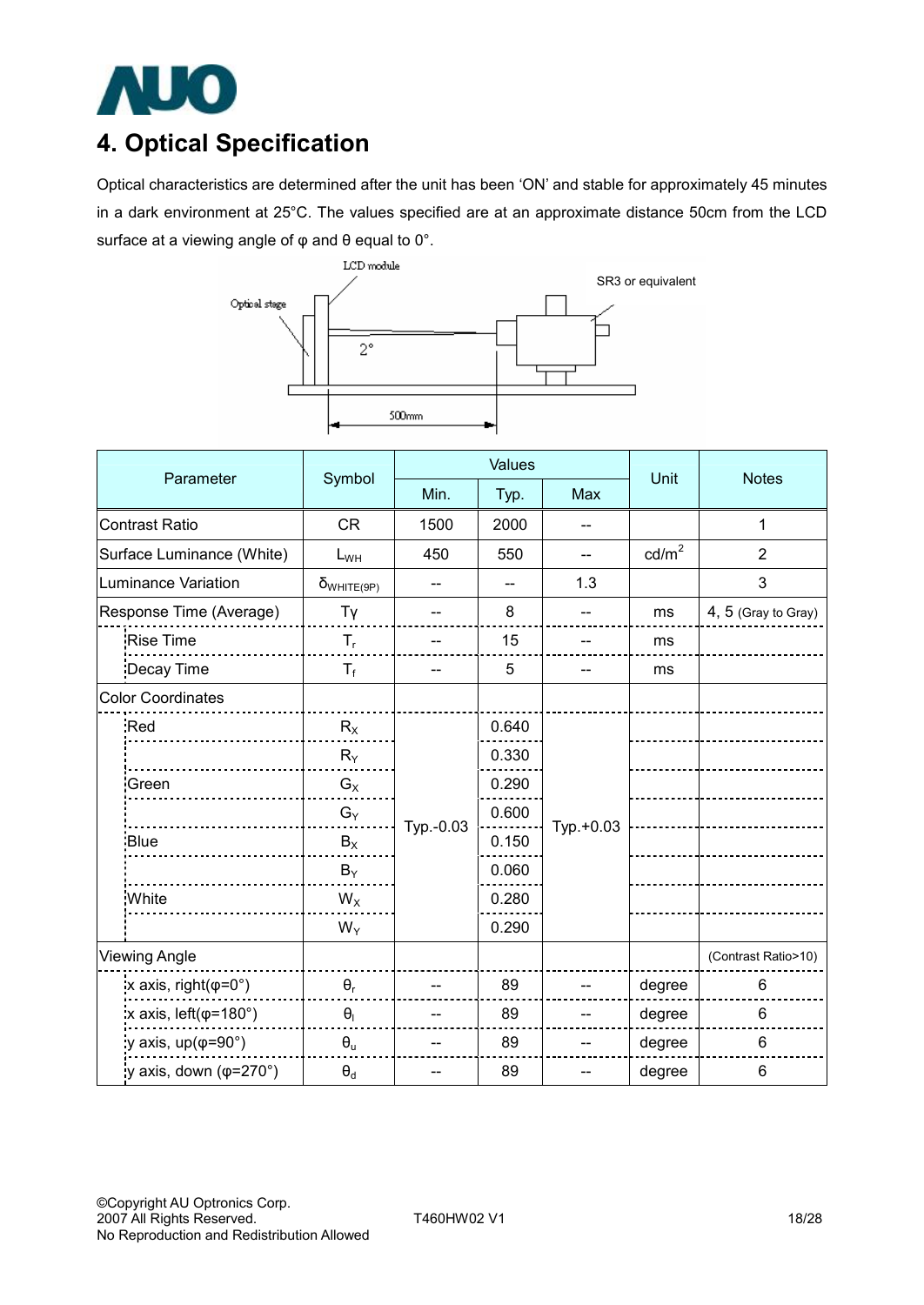

## **4. Optical Specification**

Optical characteristics are determined after the unit has been 'ON' and stable for approximately 45 minutes in a dark environment at 25°C. The values specified are at an approximate distance 50cm from the LCD surface at a viewing angle of φ and θ equal to 0°.



| Parameter             |                                      |                      | Values                   |                |           | Unit            |                     |  |
|-----------------------|--------------------------------------|----------------------|--------------------------|----------------|-----------|-----------------|---------------------|--|
|                       |                                      | Symbol               | Min.                     | Typ.           | Max       |                 | <b>Notes</b>        |  |
| <b>Contrast Ratio</b> |                                      | <b>CR</b>            | 1500                     | 2000           | --        |                 | 1                   |  |
|                       | Surface Luminance (White)            | $L_{WH}$             | 450                      | 550            | --        | $\text{cd/m}^2$ | $\overline{2}$      |  |
|                       | <b>Luminance Variation</b>           | $\delta_{WHITE(9P)}$ |                          | $\overline{a}$ | 1.3       |                 | 3                   |  |
|                       | Response Time (Average)              | Tγ                   |                          | 8              |           | ms              | 4, 5 (Gray to Gray) |  |
|                       | Rise Time                            | $T_{r}$              | $\overline{\phantom{a}}$ | 15             | --        | ms              |                     |  |
|                       | Decay Time                           | $T_f$                |                          | 5              |           | ms              |                     |  |
|                       | <b>Color Coordinates</b>             |                      |                          |                |           |                 |                     |  |
|                       | Red                                  | $R_X$                |                          | 0.640          |           |                 |                     |  |
|                       |                                      | $R_Y$                | Typ.-0.03                | 0.330          | Typ.+0.03 |                 |                     |  |
|                       | Green                                | $G_X$                |                          | 0.290          |           |                 |                     |  |
|                       |                                      | $G_Y$                |                          | 0.600          |           |                 |                     |  |
|                       | Blue                                 | $B_X$                |                          | 0.150          |           |                 |                     |  |
|                       |                                      | $B_Y$                |                          | 0.060          |           |                 |                     |  |
|                       | White                                | $W_X$                |                          | 0.280          |           |                 |                     |  |
|                       |                                      | $W_Y$                |                          | 0.290          |           |                 |                     |  |
| <b>Viewing Angle</b>  |                                      |                      |                          |                |           |                 | (Contrast Ratio>10) |  |
|                       | x axis, right( $\varphi$ =0°)        | $\theta_{r}$         |                          | 89             |           | degree          | 6                   |  |
|                       | x axis, $left(\phi=180^\circ\right)$ | $\Theta_{\rm I}$     |                          | 89             |           | degree          | 6                   |  |
|                       | y axis, $up(\varphi=90^\circ)$       | $\theta_u$           |                          | 89             |           | degree          | 6                   |  |
|                       | y axis, down ( $\varphi$ =270°)      | $\Theta_d$           |                          | 89             |           | degree          | 6                   |  |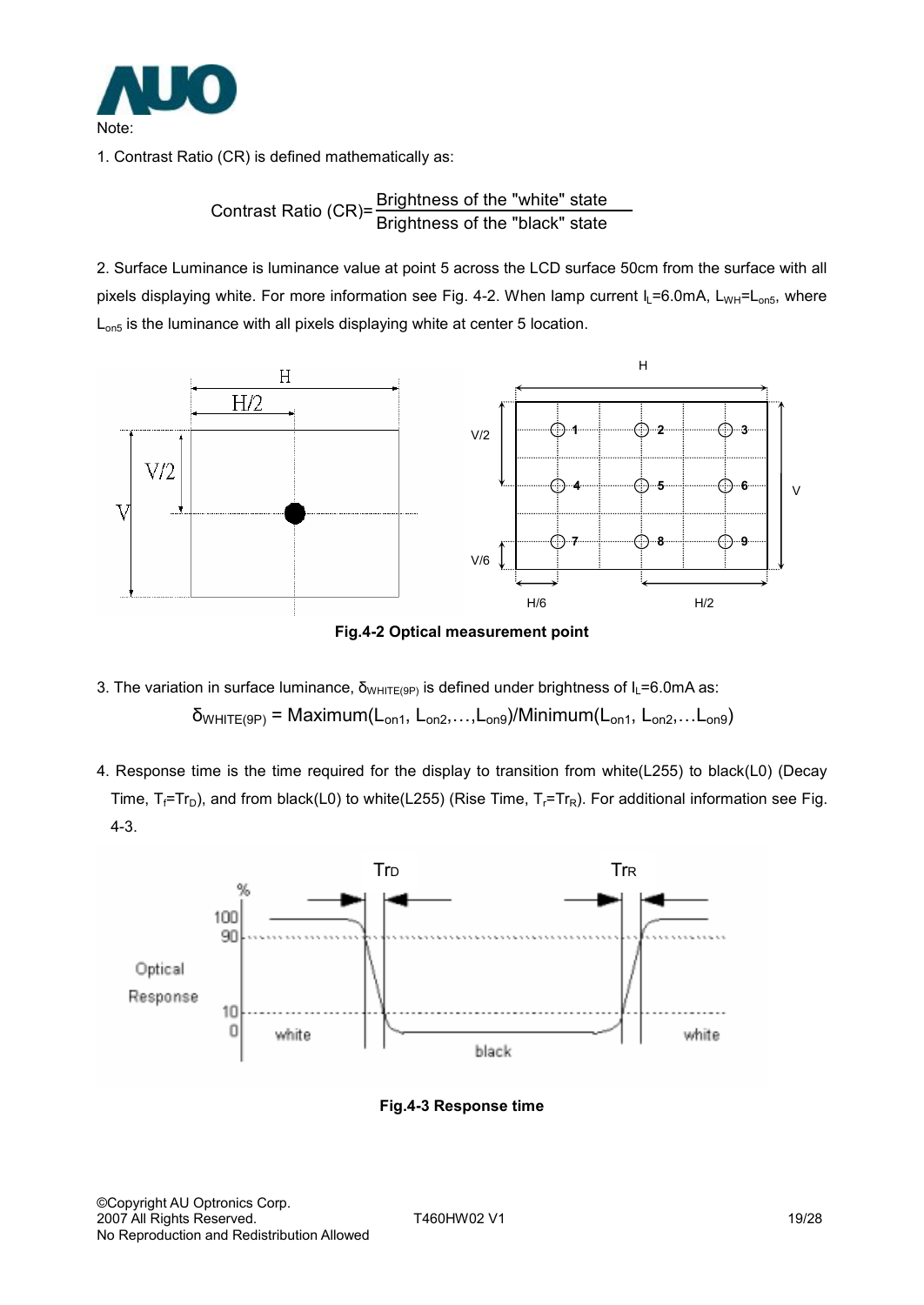

1. Contrast Ratio (CR) is defined mathematically as:

# Contrast Ratio (CR)= <mark>Brightness of the "white" state</mark><br>Brightness of the "black" state

2. Surface Luminance is luminance value at point 5 across the LCD surface 50cm from the surface with all pixels displaying white. For more information see Fig. 4-2. When lamp current  $I_L = 6.0$ mA, L<sub>WH</sub>=L<sub>on5</sub>, where L<sub>on5</sub> is the luminance with all pixels displaying white at center 5 location.



**Fig.4-2 Optical measurement point** 

- 3. The variation in surface luminance,  $\delta_{WHITE(9P)}$  is defined under brightness of  $I_L$ =6.0mA as:  $\delta_{WHITE(9P)}$  = Maximum( $L_{on1}$ ,  $L_{on2}$ ,..., $L_{on9}$ )/Minimum( $L_{on1}$ ,  $L_{on2}$ ,... $L_{on9}$ )
- 4. Response time is the time required for the display to transition from white(L255) to black(L0) (Decay Time,  $T_f$ =Tr<sub>D</sub>), and from black(L0) to white(L255) (Rise Time,  $T_f$ =Tr<sub>R</sub>). For additional information see Fig. 4-3.



**Fig.4-3 Response time**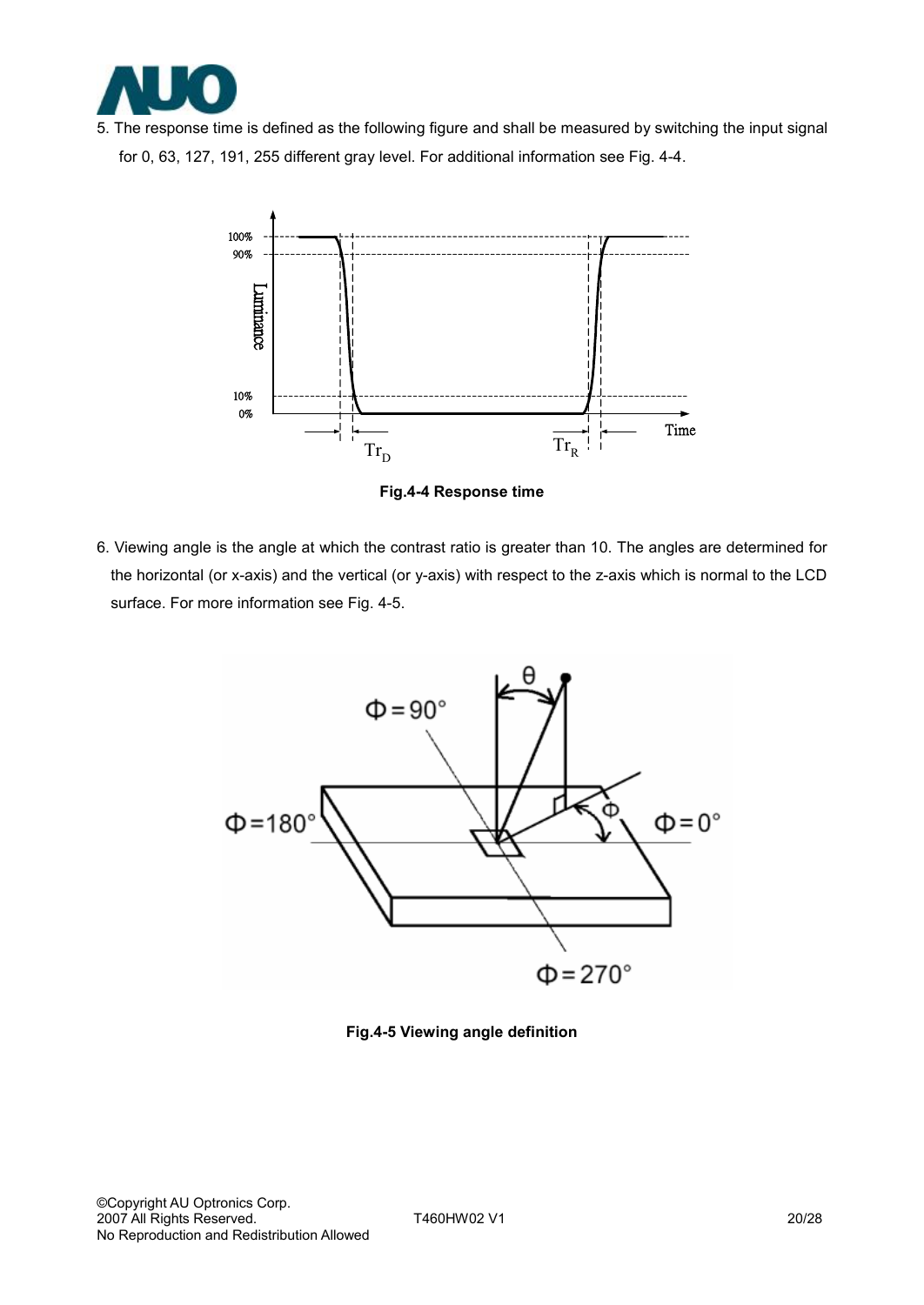

5. The response time is defined as the following figure and shall be measured by switching the input signal for 0, 63, 127, 191, 255 different gray level. For additional information see Fig. 4-4.



**Fig.4-4 Response time** 

6. Viewing angle is the angle at which the contrast ratio is greater than 10. The angles are determined for the horizontal (or x-axis) and the vertical (or y-axis) with respect to the z-axis which is normal to the LCD surface. For more information see Fig. 4-5.



**Fig.4-5 Viewing angle definition**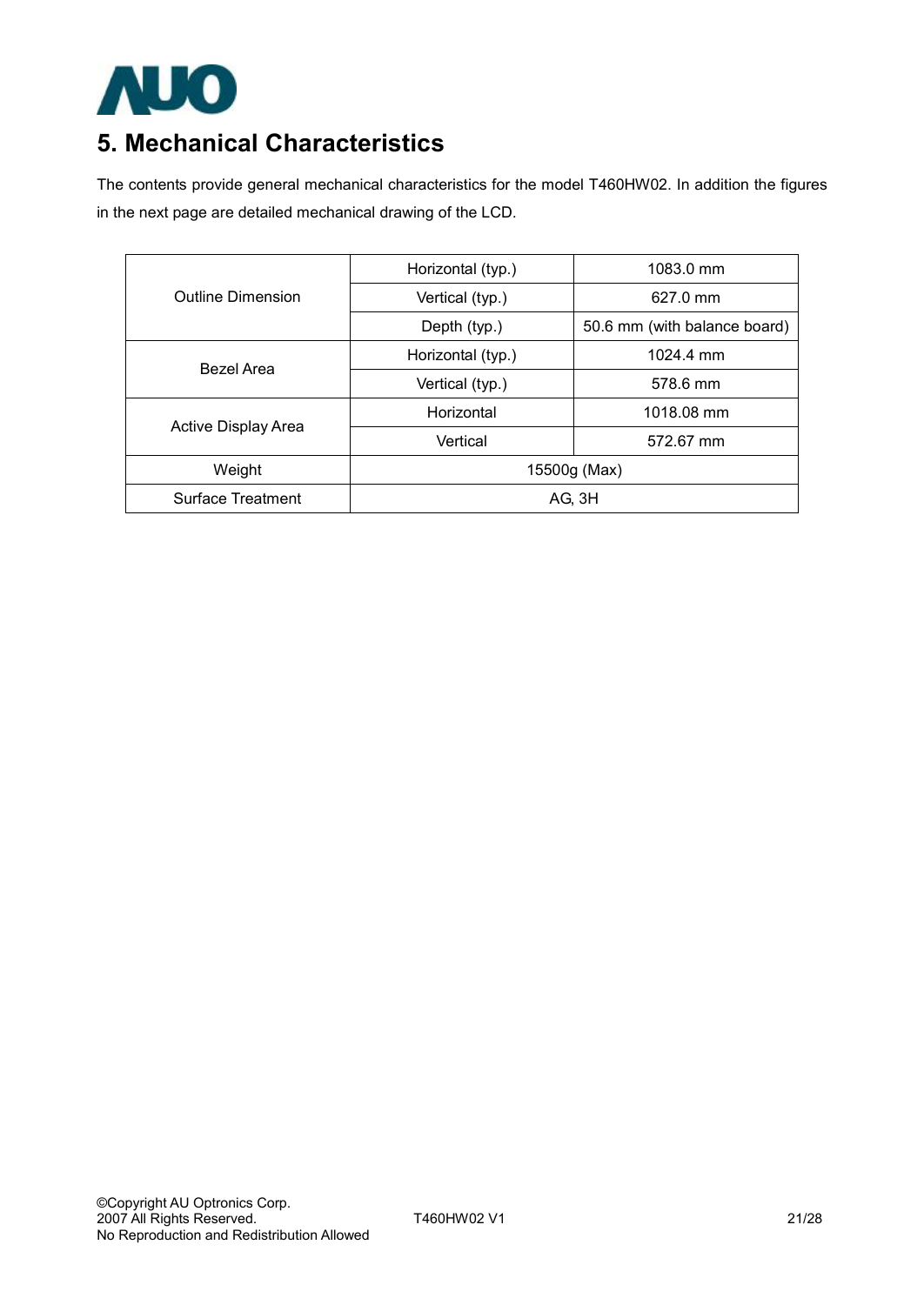

## **5. Mechanical Characteristics**

The contents provide general mechanical characteristics for the model T460HW02. In addition the figures in the next page are detailed mechanical drawing of the LCD.

|                            | Horizontal (typ.) | 1083.0 mm                    |  |  |
|----------------------------|-------------------|------------------------------|--|--|
| Outline Dimension          | Vertical (typ.)   | 627.0 mm                     |  |  |
|                            | Depth (typ.)      | 50.6 mm (with balance board) |  |  |
| <b>Bezel Area</b>          | Horizontal (typ.) | $1024.4 \text{ mm}$          |  |  |
|                            | Vertical (typ.)   | 578.6 mm                     |  |  |
| <b>Active Display Area</b> | Horizontal        | 1018.08 mm                   |  |  |
|                            | Vertical          | 572.67 mm                    |  |  |
| Weight                     | 15500g (Max)      |                              |  |  |
| <b>Surface Treatment</b>   | AG, 3H            |                              |  |  |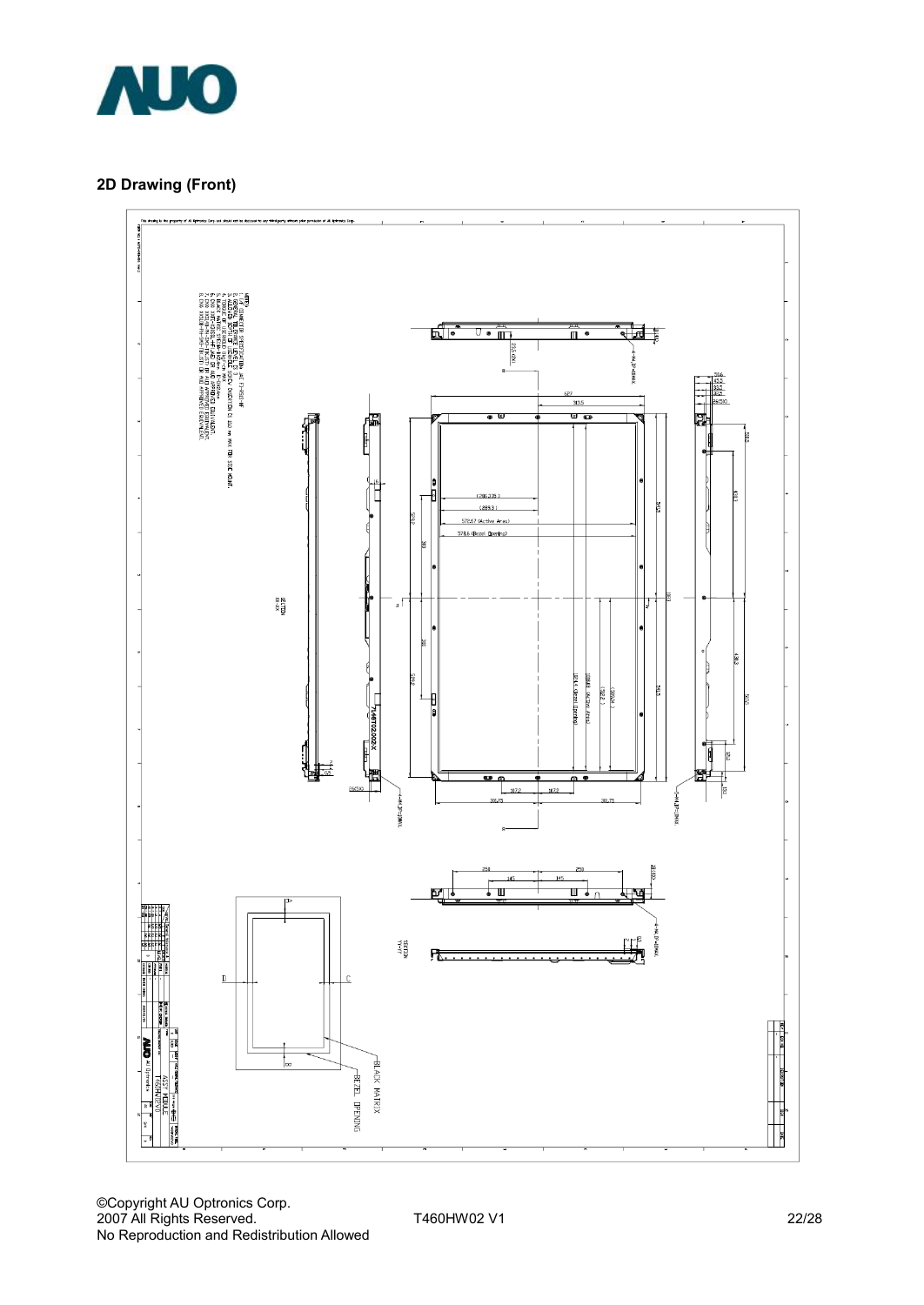

#### **2D Drawing (Front)**

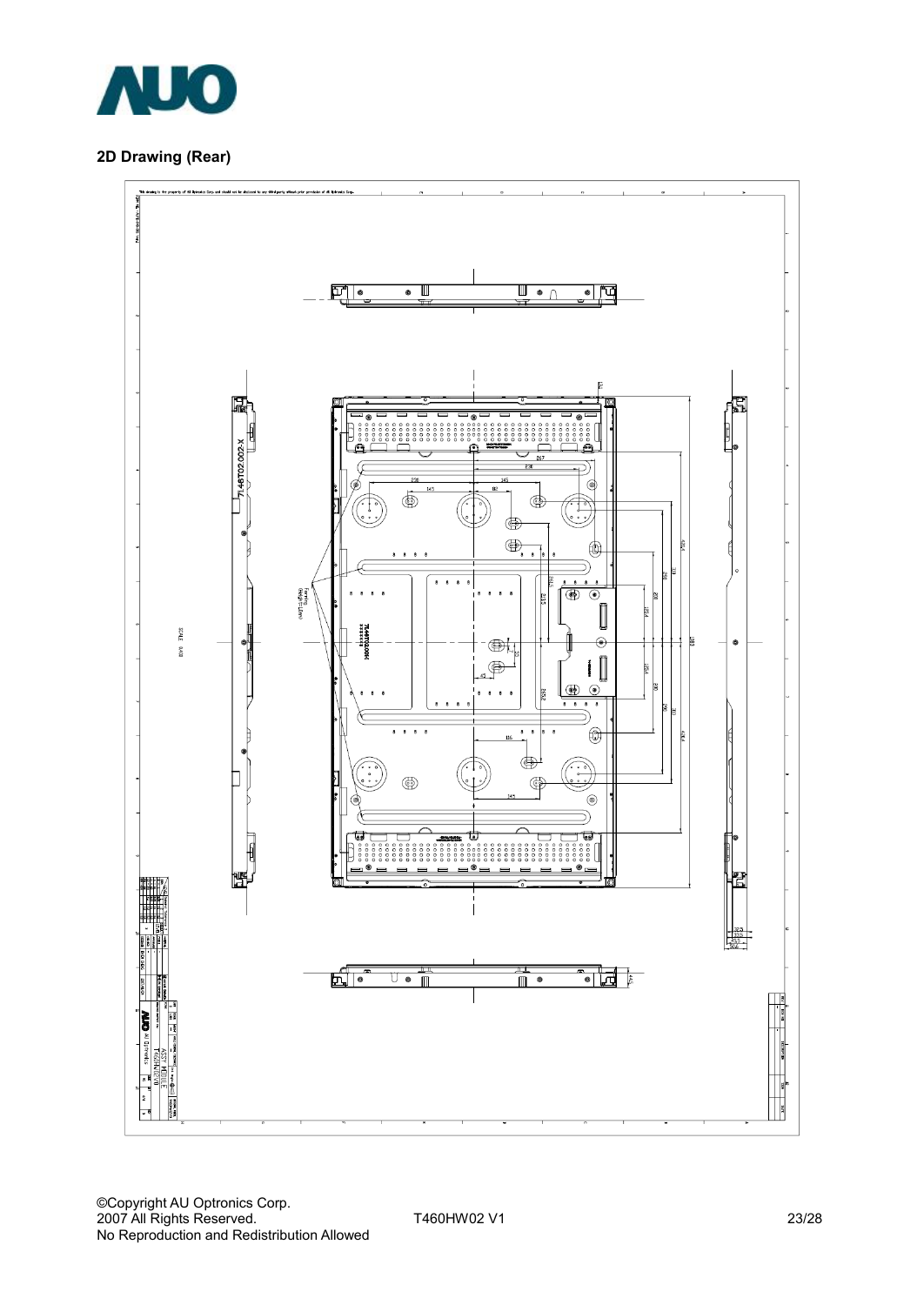

#### **2D Drawing (Rear)**

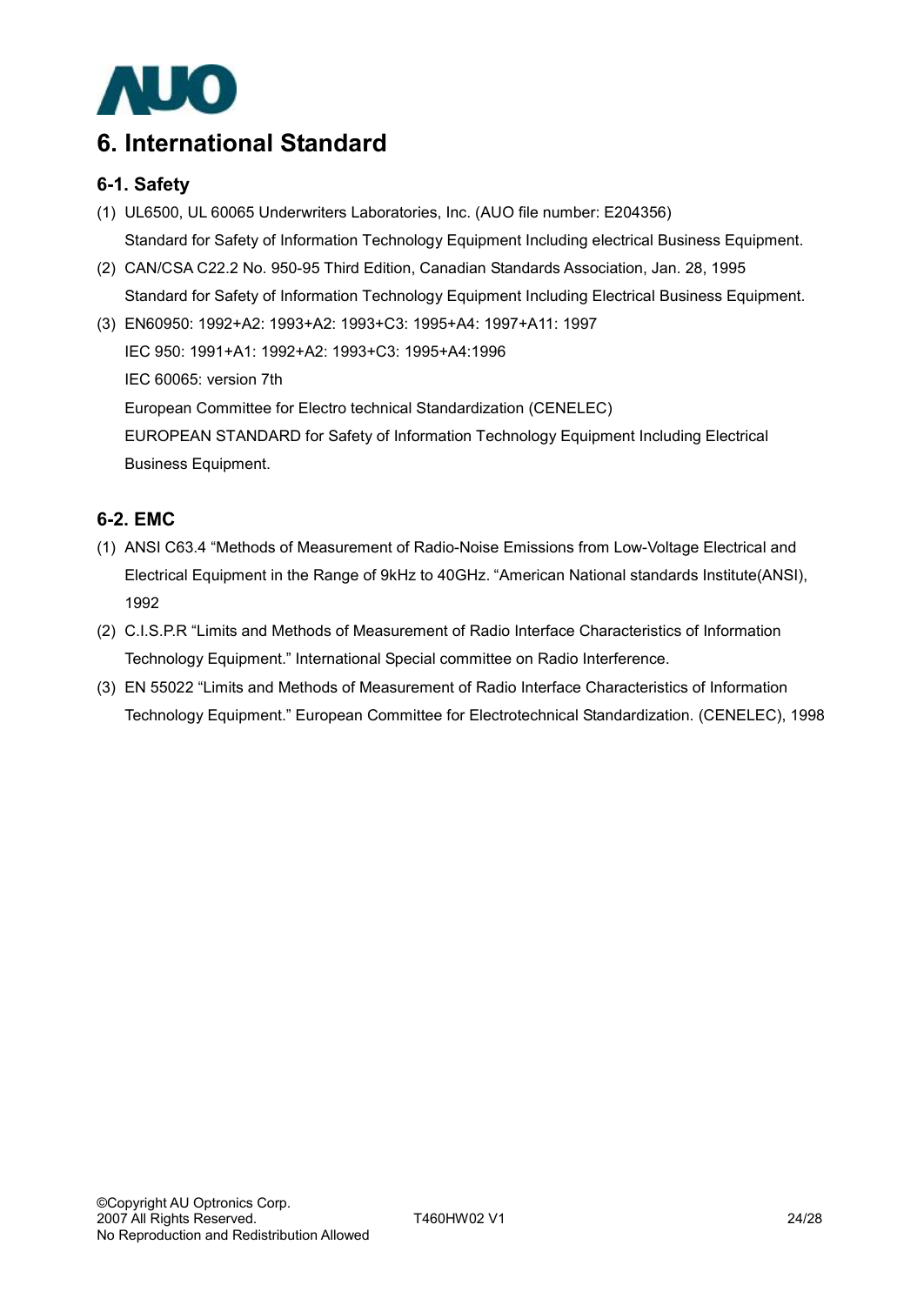

## **6. International Standard**

### **6-1. Safety**

- (1) UL6500, UL 60065 Underwriters Laboratories, Inc. (AUO file number: E204356) Standard for Safety of Information Technology Equipment Including electrical Business Equipment.
- (2) CAN/CSA C22.2 No. 950-95 Third Edition, Canadian Standards Association, Jan. 28, 1995 Standard for Safety of Information Technology Equipment Including Electrical Business Equipment.
- (3) EN60950: 1992+A2: 1993+A2: 1993+C3: 1995+A4: 1997+A11: 1997 IEC 950: 1991+A1: 1992+A2: 1993+C3: 1995+A4:1996 IEC 60065: version 7th European Committee for Electro technical Standardization (CENELEC) EUROPEAN STANDARD for Safety of Information Technology Equipment Including Electrical Business Equipment.

### **6-2. EMC**

- (1) ANSI C63.4 "Methods of Measurement of Radio-Noise Emissions from Low-Voltage Electrical and Electrical Equipment in the Range of 9kHz to 40GHz. "American National standards Institute(ANSI), 1992
- (2) C.I.S.P.R "Limits and Methods of Measurement of Radio Interface Characteristics of Information Technology Equipment." International Special committee on Radio Interference.
- (3) EN 55022 "Limits and Methods of Measurement of Radio Interface Characteristics of Information Technology Equipment." European Committee for Electrotechnical Standardization. (CENELEC), 1998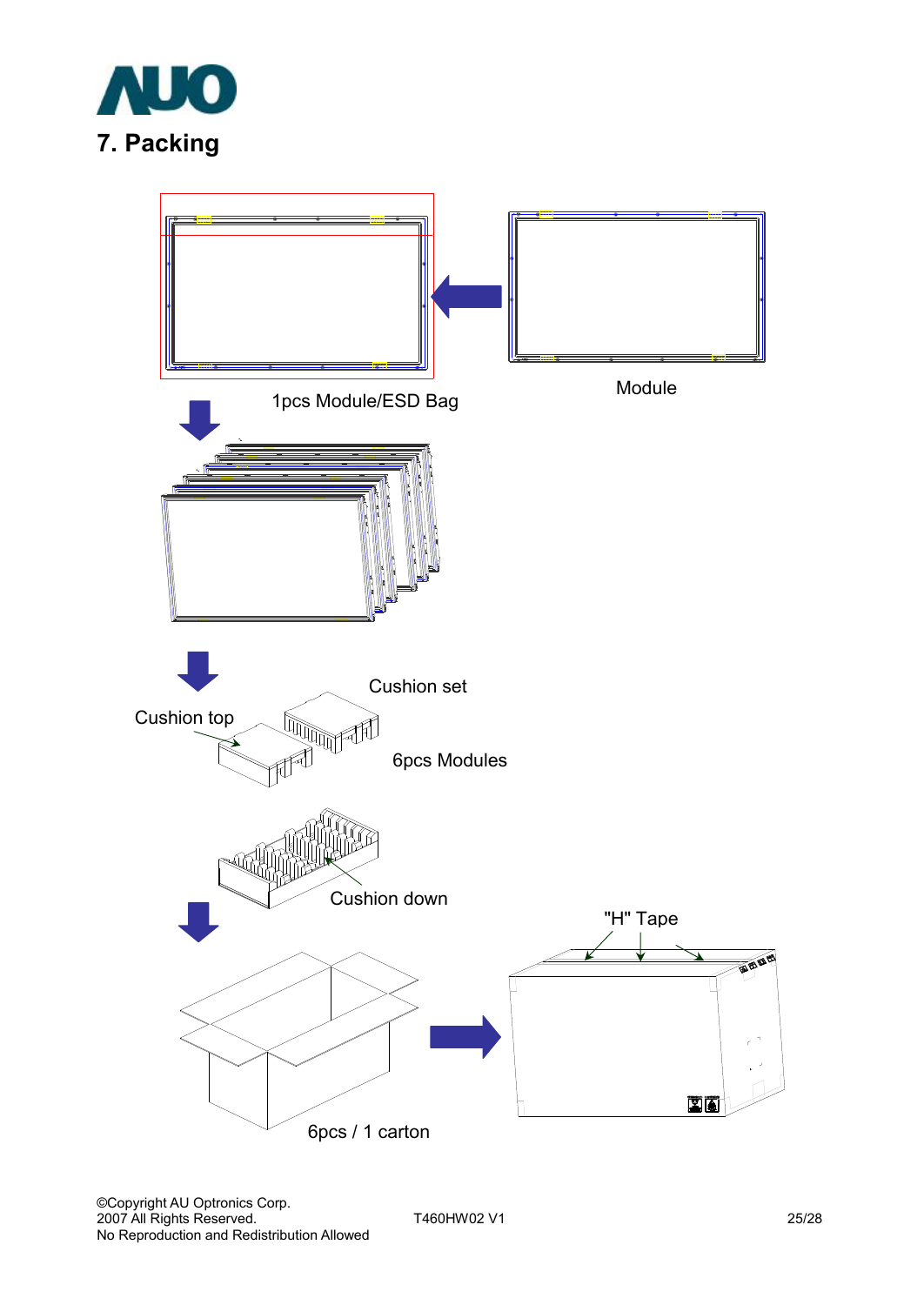

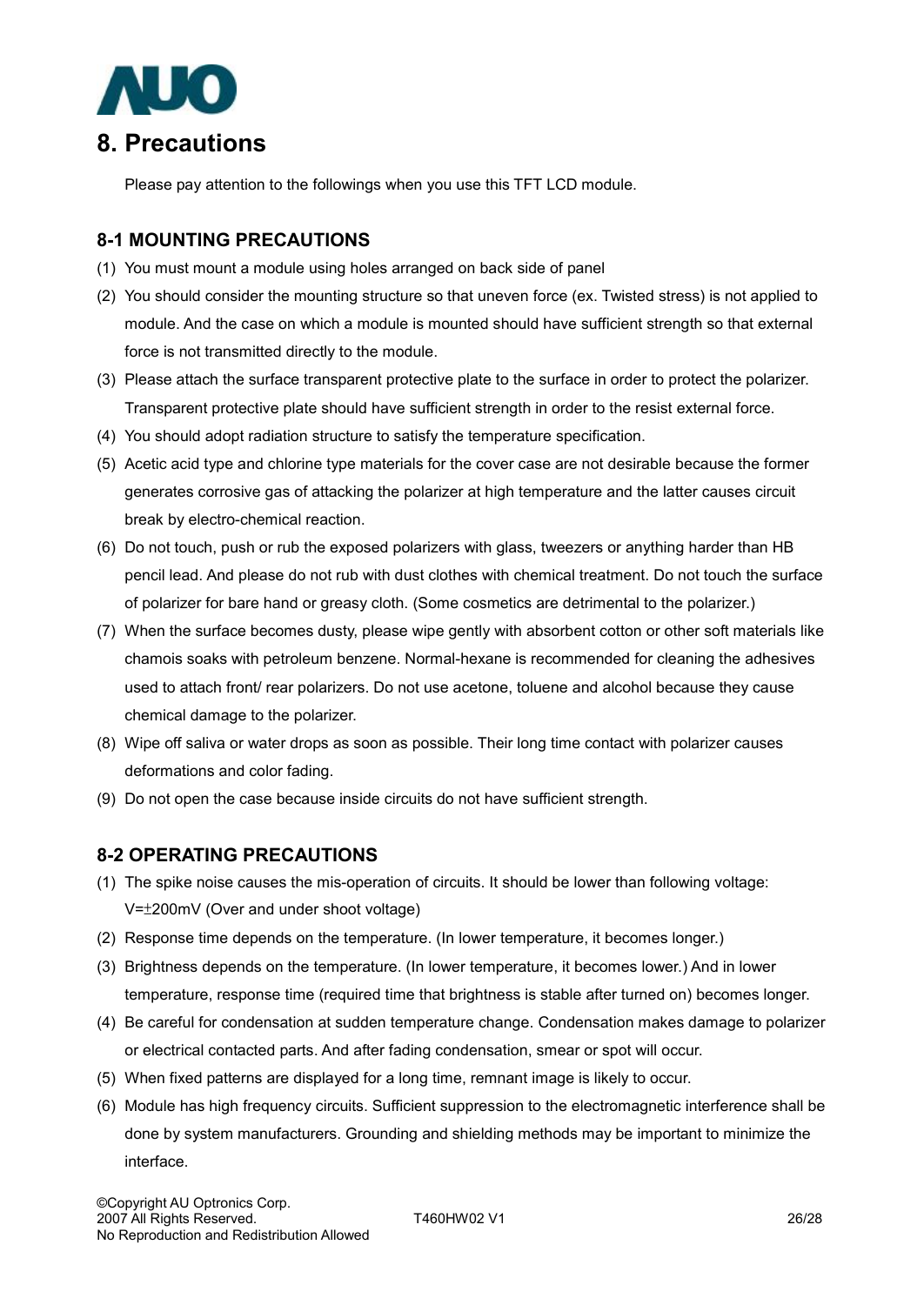

Please pay attention to the followings when you use this TFT LCD module.

#### **8-1 MOUNTING PRECAUTIONS**

- (1) You must mount a module using holes arranged on back side of panel
- (2) You should consider the mounting structure so that uneven force (ex. Twisted stress) is not applied to module. And the case on which a module is mounted should have sufficient strength so that external force is not transmitted directly to the module.
- (3) Please attach the surface transparent protective plate to the surface in order to protect the polarizer. Transparent protective plate should have sufficient strength in order to the resist external force.
- (4) You should adopt radiation structure to satisfy the temperature specification.
- (5) Acetic acid type and chlorine type materials for the cover case are not desirable because the former generates corrosive gas of attacking the polarizer at high temperature and the latter causes circuit break by electro-chemical reaction.
- (6) Do not touch, push or rub the exposed polarizers with glass, tweezers or anything harder than HB pencil lead. And please do not rub with dust clothes with chemical treatment. Do not touch the surface of polarizer for bare hand or greasy cloth. (Some cosmetics are detrimental to the polarizer.)
- (7) When the surface becomes dusty, please wipe gently with absorbent cotton or other soft materials like chamois soaks with petroleum benzene. Normal-hexane is recommended for cleaning the adhesives used to attach front/ rear polarizers. Do not use acetone, toluene and alcohol because they cause chemical damage to the polarizer.
- (8) Wipe off saliva or water drops as soon as possible. Their long time contact with polarizer causes deformations and color fading.
- (9) Do not open the case because inside circuits do not have sufficient strength.

#### **8-2 OPERATING PRECAUTIONS**

- (1) The spike noise causes the mis-operation of circuits. It should be lower than following voltage: V=±200mV (Over and under shoot voltage)
- (2) Response time depends on the temperature. (In lower temperature, it becomes longer.)
- (3) Brightness depends on the temperature. (In lower temperature, it becomes lower.) And in lower temperature, response time (required time that brightness is stable after turned on) becomes longer.
- (4) Be careful for condensation at sudden temperature change. Condensation makes damage to polarizer or electrical contacted parts. And after fading condensation, smear or spot will occur.
- (5) When fixed patterns are displayed for a long time, remnant image is likely to occur.
- (6) Module has high frequency circuits. Sufficient suppression to the electromagnetic interference shall be done by system manufacturers. Grounding and shielding methods may be important to minimize the interface.